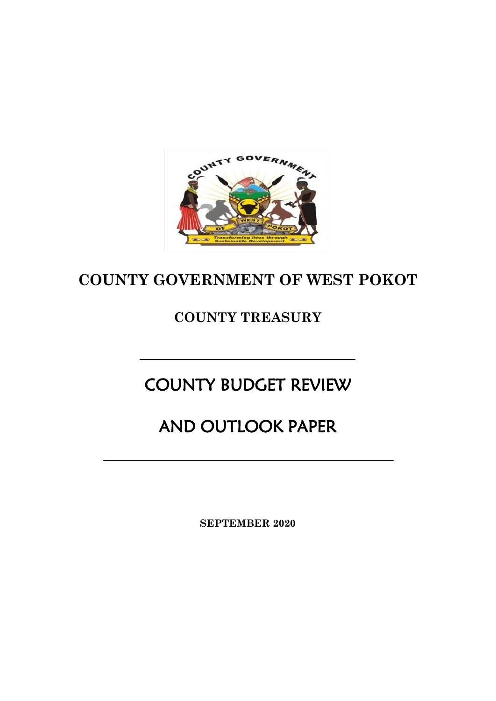

# **COUNTY GOVERNMENT OF WEST POKOT**

# **COUNTY TREASURY**

# COUNTY BUDGET REVIEW

# AND OUTLOOK PAPER

**SEPTEMBER 2020**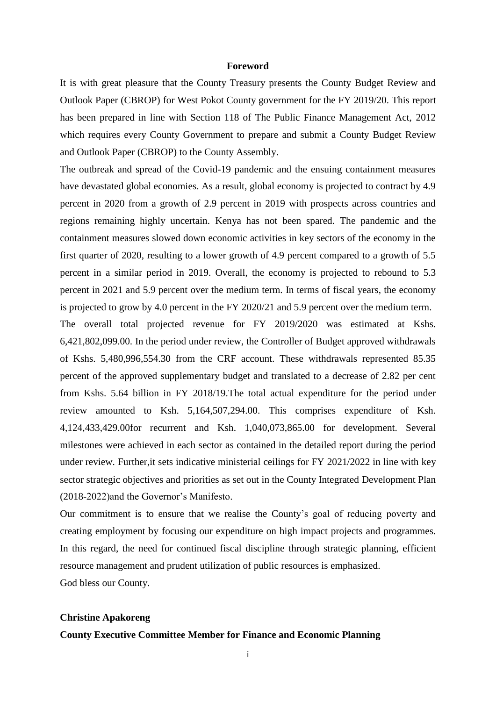#### **Foreword**

<span id="page-1-0"></span>It is with great pleasure that the County Treasury presents the County Budget Review and Outlook Paper (CBROP) for West Pokot County government for the FY 2019/20. This report has been prepared in line with Section 118 of The Public Finance Management Act, 2012 which requires every County Government to prepare and submit a County Budget Review and Outlook Paper (CBROP) to the County Assembly.

The outbreak and spread of the Covid-19 pandemic and the ensuing containment measures have devastated global economies. As a result, global economy is projected to contract by 4.9 percent in 2020 from a growth of 2.9 percent in 2019 with prospects across countries and regions remaining highly uncertain. Kenya has not been spared. The pandemic and the containment measures slowed down economic activities in key sectors of the economy in the first quarter of 2020, resulting to a lower growth of 4.9 percent compared to a growth of 5.5 percent in a similar period in 2019. Overall, the economy is projected to rebound to 5.3 percent in 2021 and 5.9 percent over the medium term. In terms of fiscal years, the economy is projected to grow by 4.0 percent in the FY 2020/21 and 5.9 percent over the medium term.

The overall total projected revenue for FY 2019/2020 was estimated at Kshs. 6,421,802,099.00. In the period under review, the Controller of Budget approved withdrawals of Kshs. 5,480,996,554.30 from the CRF account. These withdrawals represented 85.35 percent of the approved supplementary budget and translated to a decrease of 2.82 per cent from Kshs. 5.64 billion in FY 2018/19.The total actual expenditure for the period under review amounted to Ksh. 5,164,507,294.00. This comprises expenditure of Ksh. 4,124,433,429.00for recurrent and Ksh. 1,040,073,865.00 for development. Several milestones were achieved in each sector as contained in the detailed report during the period under review. Further,it sets indicative ministerial ceilings for FY 2021/2022 in line with key sector strategic objectives and priorities as set out in the County Integrated Development Plan (2018-2022)and the Governor's Manifesto.

Our commitment is to ensure that we realise the County's goal of reducing poverty and creating employment by focusing our expenditure on high impact projects and programmes. In this regard, the need for continued fiscal discipline through strategic planning, efficient resource management and prudent utilization of public resources is emphasized. God bless our County.

#### **Christine Apakoreng**

# **County Executive Committee Member for Finance and Economic Planning**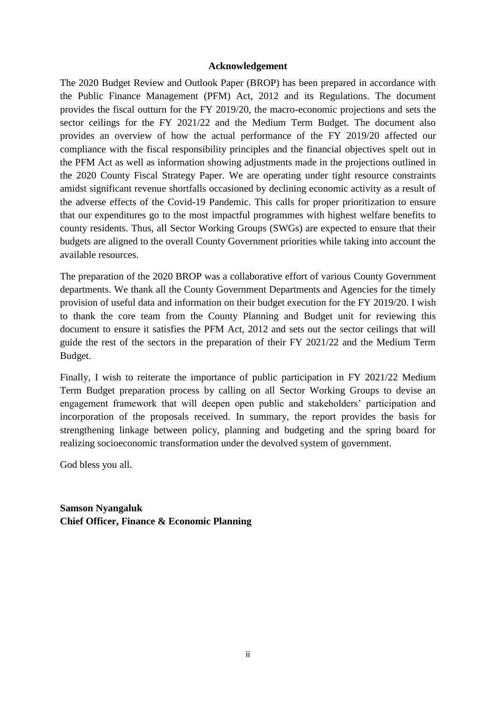#### **Acknowledgement**

<span id="page-2-0"></span>The 2020 Budget Review and Outlook Paper (BROP) has been prepared in accordance with the Public Finance Management (PFM) Act, 2012 and its Regulations. The document provides the fiscal outturn for the FY 2019/20, the macro-economic projections and sets the sector ceilings for the FY 2021/22 and the Medium Term Budget. The document also provides an overview of how the actual performance of the FY 2019/20 affected our compliance with the fiscal responsibility principles and the financial objectives spelt out in the PFM Act as well as information showing adjustments made in the projections outlined in the 2020 County Fiscal Strategy Paper. We are operating under tight resource constraints amidst significant revenue shortfalls occasioned by declining economic activity as a result of the adverse effects of the Covid-19 Pandemic. This calls for proper prioritization to ensure that our expenditures go to the most impactful programmes with highest welfare benefits to county residents. Thus, all Sector Working Groups (SWGs) are expected to ensure that their budgets are aligned to the overall County Government priorities while taking into account the available resources.

The preparation of the 2020 BROP was a collaborative effort of various County Government departments. We thank all the County Government Departments and Agencies for the timely provision of useful data and information on their budget execution for the FY 2019/20. I wish to thank the core team from the County Planning and Budget unit for reviewing this document to ensure it satisfies the PFM Act, 2012 and sets out the sector ceilings that will guide the rest of the sectors in the preparation of their FY 2021/22 and the Medium Term Budget.

Finally, I wish to reiterate the importance of public participation in FY 2021/22 Medium Term Budget preparation process by calling on all Sector Working Groups to devise an engagement framework that will deepen open public and stakeholders' participation and incorporation of the proposals received. In summary, the report provides the basis for strengthening linkage between policy, planning and budgeting and the spring board for realizing socioeconomic transformation under the devolved system of government.

God bless you all.

**Samson Nyangaluk Chief Officer, Finance & Economic Planning**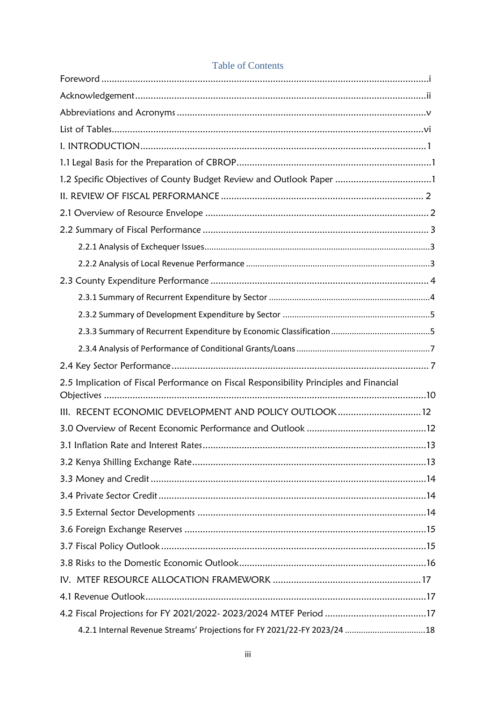# **Table of Contents**

| 1.2 Specific Objectives of County Budget Review and Outlook Paper 1                     |  |
|-----------------------------------------------------------------------------------------|--|
|                                                                                         |  |
|                                                                                         |  |
|                                                                                         |  |
|                                                                                         |  |
|                                                                                         |  |
|                                                                                         |  |
|                                                                                         |  |
|                                                                                         |  |
|                                                                                         |  |
|                                                                                         |  |
|                                                                                         |  |
| 2.5 Implication of Fiscal Performance on Fiscal Responsibility Principles and Financial |  |
| III. RECENT ECONOMIC DEVELOPMENT AND POLICY OUTLOOK 12                                  |  |
|                                                                                         |  |
|                                                                                         |  |
|                                                                                         |  |
|                                                                                         |  |
|                                                                                         |  |
|                                                                                         |  |
|                                                                                         |  |
|                                                                                         |  |
|                                                                                         |  |
|                                                                                         |  |
|                                                                                         |  |
| 4.2 Fiscal Projections for FY 2021/2022- 2023/2024 MTEF Period 17                       |  |
| 4.2.1 Internal Revenue Streams' Projections for FY 2021/22-FY 2023/24 18                |  |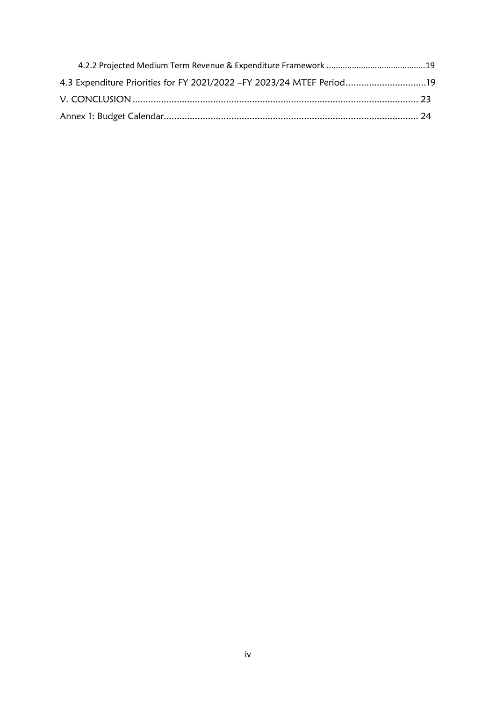| 4.3 Expenditure Priorities for FY 2021/2022 - FY 2023/24 MTEF Period19 |  |
|------------------------------------------------------------------------|--|
|                                                                        |  |
|                                                                        |  |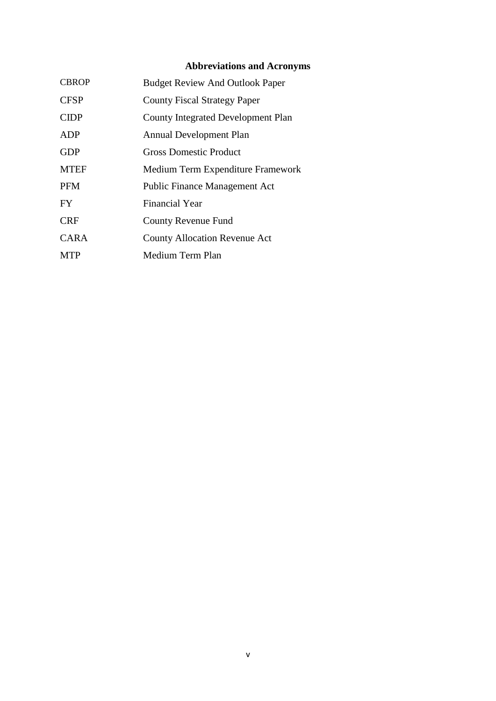# **Abbreviations and Acronyms**

<span id="page-5-0"></span>

| <b>CBROP</b> | <b>Budget Review And Outlook Paper</b> |
|--------------|----------------------------------------|
| <b>CFSP</b>  | <b>County Fiscal Strategy Paper</b>    |
| <b>CIDP</b>  | County Integrated Development Plan     |
| ADP          | <b>Annual Development Plan</b>         |
| <b>GDP</b>   | <b>Gross Domestic Product</b>          |
| <b>MTEF</b>  | Medium Term Expenditure Framework      |
| <b>PFM</b>   | <b>Public Finance Management Act</b>   |
| FY.          | Financial Year                         |
| <b>CRF</b>   | <b>County Revenue Fund</b>             |
| CARA         | <b>County Allocation Revenue Act</b>   |
| <b>MTP</b>   | Medium Term Plan                       |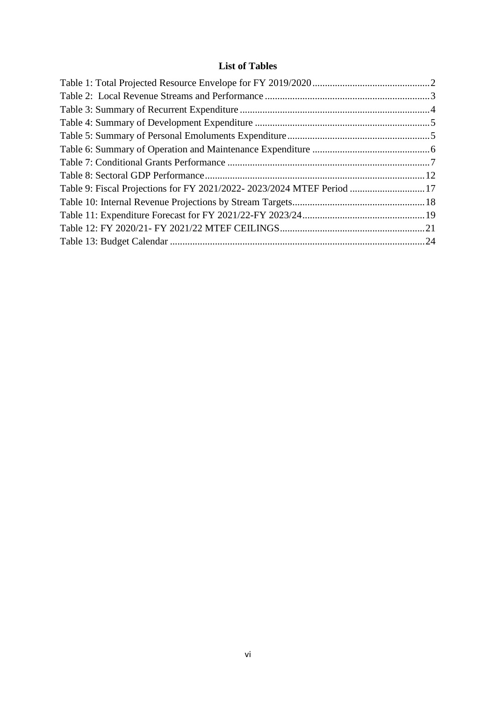# **List of Tables**

<span id="page-6-0"></span>

| Table 9: Fiscal Projections for FY 2021/2022-2023/2024 MTEF Period 17 |
|-----------------------------------------------------------------------|
|                                                                       |
|                                                                       |
|                                                                       |
|                                                                       |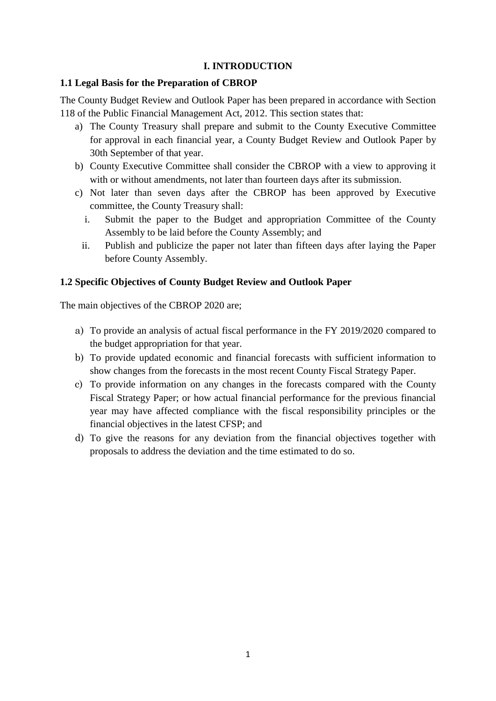# **I. INTRODUCTION**

## <span id="page-7-1"></span><span id="page-7-0"></span>**1.1 Legal Basis for the Preparation of CBROP**

The County Budget Review and Outlook Paper has been prepared in accordance with Section 118 of the Public Financial Management Act, 2012. This section states that:

- a) The County Treasury shall prepare and submit to the County Executive Committee for approval in each financial year, a County Budget Review and Outlook Paper by 30th September of that year.
- b) County Executive Committee shall consider the CBROP with a view to approving it with or without amendments, not later than fourteen days after its submission.
- c) Not later than seven days after the CBROP has been approved by Executive committee, the County Treasury shall:
	- i. Submit the paper to the Budget and appropriation Committee of the County Assembly to be laid before the County Assembly; and
	- ii. Publish and publicize the paper not later than fifteen days after laying the Paper before County Assembly.

# <span id="page-7-2"></span>**1.2 Specific Objectives of County Budget Review and Outlook Paper**

The main objectives of the CBROP 2020 are;

- a) To provide an analysis of actual fiscal performance in the FY 2019/2020 compared to the budget appropriation for that year.
- b) To provide updated economic and financial forecasts with sufficient information to show changes from the forecasts in the most recent County Fiscal Strategy Paper.
- c) To provide information on any changes in the forecasts compared with the County Fiscal Strategy Paper; or how actual financial performance for the previous financial year may have affected compliance with the fiscal responsibility principles or the financial objectives in the latest CFSP; and
- d) To give the reasons for any deviation from the financial objectives together with proposals to address the deviation and the time estimated to do so.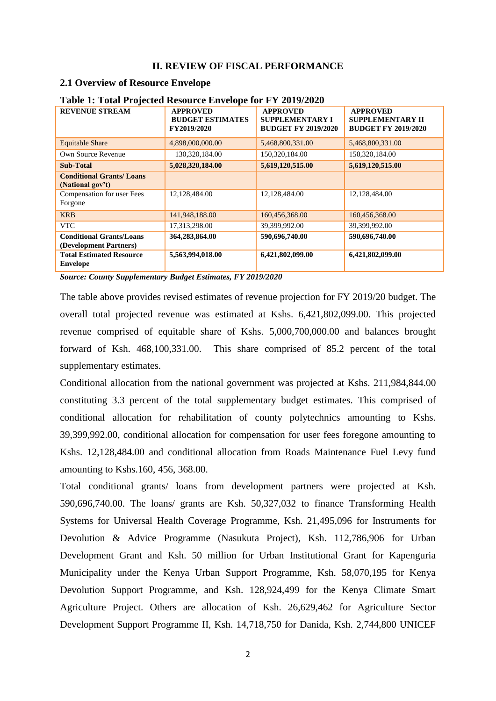#### **II. REVIEW OF FISCAL PERFORMANCE**

#### <span id="page-8-1"></span><span id="page-8-0"></span>**2.1 Overview of Resource Envelope**

| <b>REVENUE STREAM</b>                                     | <b>APPROVED</b><br><b>BUDGET ESTIMATES</b><br>FY2019/2020 | <b>APPROVED</b><br><b>SUPPLEMENTARY I</b><br><b>BUDGET FY 2019/2020</b> | <b>APPROVED</b><br><b>SUPPLEMENTARY II</b><br><b>BUDGET FY 2019/2020</b> |
|-----------------------------------------------------------|-----------------------------------------------------------|-------------------------------------------------------------------------|--------------------------------------------------------------------------|
| <b>Equitable Share</b>                                    | 4,898,000,000.00                                          | 5,468,800,331.00                                                        | 5,468,800,331.00                                                         |
| Own Source Revenue                                        | 130,320,184.00                                            | 150,320,184.00                                                          | 150,320,184.00                                                           |
| <b>Sub-Total</b>                                          | 5,028,320,184.00                                          | 5,619,120,515.00                                                        | 5,619,120,515.00                                                         |
| <b>Conditional Grants/Loans</b><br>(National gov't)       |                                                           |                                                                         |                                                                          |
| Compensation for user Fees<br>Forgone                     | 12,128,484.00                                             | 12,128,484.00                                                           | 12,128,484.00                                                            |
| <b>KRB</b>                                                | 141,948,188.00                                            | 160,456,368.00                                                          | 160,456,368.00                                                           |
| <b>VTC</b>                                                | 17,313,298.00                                             | 39,399,992.00                                                           | 39,399,992.00                                                            |
| <b>Conditional Grants/Loans</b><br>(Development Partners) | 364,283,864.00                                            | 590,696,740.00                                                          | 590,696,740.00                                                           |
| <b>Total Estimated Resource</b><br><b>Envelope</b>        | 5,563,994,018.00                                          | 6,421,802,099.00                                                        | 6,421,802,099.00                                                         |

#### <span id="page-8-2"></span>**Table 1: Total Projected Resource Envelope for FY 2019/2020**

*Source: County Supplementary Budget Estimates, FY 2019/2020*

The table above provides revised estimates of revenue projection for FY 2019/20 budget. The overall total projected revenue was estimated at Kshs. 6,421,802,099.00. This projected revenue comprised of equitable share of Kshs. 5,000,700,000.00 and balances brought forward of Ksh. 468,100,331.00. This share comprised of 85.2 percent of the total supplementary estimates.

Conditional allocation from the national government was projected at Kshs. 211,984,844.00 constituting 3.3 percent of the total supplementary budget estimates. This comprised of conditional allocation for rehabilitation of county polytechnics amounting to Kshs. 39,399,992.00, conditional allocation for compensation for user fees foregone amounting to Kshs. 12,128,484.00 and conditional allocation from Roads Maintenance Fuel Levy fund amounting to Kshs.160, 456, 368.00.

Total conditional grants/ loans from development partners were projected at Ksh. 590,696,740.00. The loans/ grants are Ksh. 50,327,032 to finance Transforming Health Systems for Universal Health Coverage Programme, Ksh. 21,495,096 for Instruments for Devolution & Advice Programme (Nasukuta Project), Ksh. 112,786,906 for Urban Development Grant and Ksh. 50 million for Urban Institutional Grant for Kapenguria Municipality under the Kenya Urban Support Programme, Ksh. 58,070,195 for Kenya Devolution Support Programme, and Ksh. 128,924,499 for the Kenya Climate Smart Agriculture Project. Others are allocation of Ksh. 26,629,462 for Agriculture Sector Development Support Programme II, Ksh. 14,718,750 for Danida, Ksh. 2,744,800 UNICEF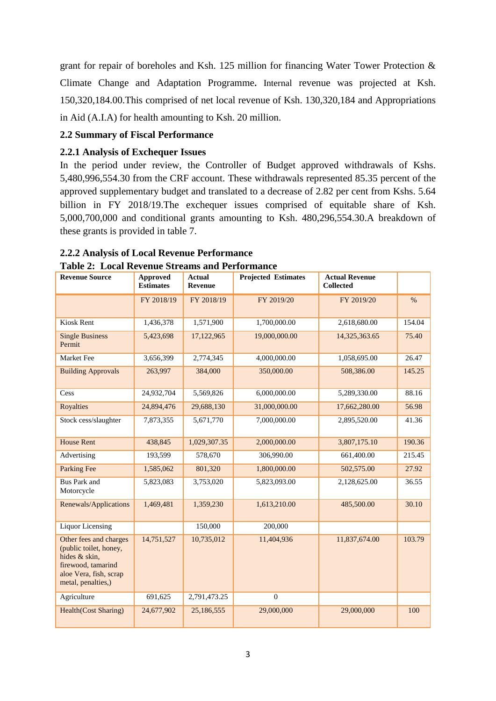grant for repair of boreholes and Ksh. 125 million for financing Water Tower Protection & Climate Change and Adaptation Programme**.** Internal revenue was projected at Ksh. 150,320,184.00.This comprised of net local revenue of Ksh. 130,320,184 and Appropriations in Aid (A.I.A) for health amounting to Ksh. 20 million.

## <span id="page-9-0"></span>**2.2 Summary of Fiscal Performance**

## <span id="page-9-1"></span>**2.2.1 Analysis of Exchequer Issues**

In the period under review, the Controller of Budget approved withdrawals of Kshs. 5,480,996,554.30 from the CRF account. These withdrawals represented 85.35 percent of the approved supplementary budget and translated to a decrease of 2.82 per cent from Kshs. 5.64 billion in FY 2018/19.The exchequer issues comprised of equitable share of Ksh. 5,000,700,000 and conditional grants amounting to Ksh. 480,296,554.30.A breakdown of these grants is provided in table 7.

# <span id="page-9-2"></span>**2.2.2 Analysis of Local Revenue Performance**

| <b>Revenue Source</b>                                                                                                                   | <b>Approved</b><br><b>Estimates</b> | <b>Actual</b><br><b>Revenue</b> | <b>Projected Estimates</b> | <b>Actual Revenue</b><br><b>Collected</b> |        |
|-----------------------------------------------------------------------------------------------------------------------------------------|-------------------------------------|---------------------------------|----------------------------|-------------------------------------------|--------|
|                                                                                                                                         | FY 2018/19                          | FY 2018/19                      | FY 2019/20                 | FY 2019/20                                | $\%$   |
| Kiosk Rent                                                                                                                              | 1,436,378                           | 1,571,900                       | 1,700,000.00               | 2,618,680.00                              | 154.04 |
| <b>Single Business</b><br>Permit                                                                                                        | 5,423,698                           | 17,122,965                      | 19,000,000.00              | 14,325,363.65                             | 75.40  |
| Market Fee                                                                                                                              | 3,656,399                           | 2,774,345                       | 4,000,000.00               | 1,058,695.00                              | 26.47  |
| <b>Building Approvals</b>                                                                                                               | 263,997                             | 384,000                         | 350,000.00                 | 508,386.00                                | 145.25 |
| Cess                                                                                                                                    | 24,932,704                          | 5,569,826                       | 6,000,000.00               | 5,289,330.00                              | 88.16  |
| <b>Royalties</b>                                                                                                                        | 24,894,476                          | 29,688,130                      | 31,000,000.00              | 17,662,280.00                             | 56.98  |
| Stock cess/slaughter                                                                                                                    | 7,873,355                           | 5,671,770                       | 7,000,000.00               | 2,895,520.00                              | 41.36  |
| <b>House Rent</b>                                                                                                                       | 438,845                             | 1,029,307.35                    | 2,000,000.00               | 3,807,175.10                              | 190.36 |
| Advertising                                                                                                                             | 193,599                             | 578,670                         | 306,990.00                 | 661,400.00                                | 215.45 |
| <b>Parking Fee</b>                                                                                                                      | 1,585,062                           | 801,320                         | 1,800,000.00               | 502,575.00                                | 27.92  |
| <b>Bus Park and</b><br>Motorcycle                                                                                                       | 5,823,083                           | 3,753,020                       | 5,823,093.00               | 2,128,625.00                              | 36.55  |
| Renewals/Applications                                                                                                                   | 1,469,481                           | 1,359,230                       | 1,613,210.00               | 485,500.00                                | 30.10  |
| <b>Liquor Licensing</b>                                                                                                                 |                                     | 150,000                         | 200,000                    |                                           |        |
| Other fees and charges<br>(public toilet, honey,<br>hides & skin,<br>firewood, tamarind<br>aloe Vera, fish, scrap<br>metal, penalties,) | 14,751,527                          | 10,735,012                      | 11,404,936                 | 11,837,674.00                             | 103.79 |
| Agriculture                                                                                                                             | 691,625                             | 2,791,473.25                    | $\mathbf{0}$               |                                           |        |
| <b>Health(Cost Sharing)</b>                                                                                                             | 24,677,902                          | 25,186,555                      | 29,000,000                 | 29,000,000                                | 100    |

<span id="page-9-3"></span>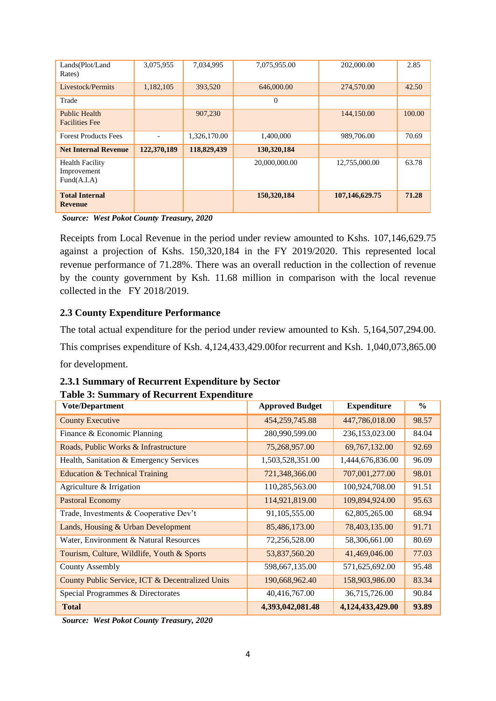| Lands(Plot/Land<br>Rates)                            | 3,075,955                | 7,034,995    | 7,075,955.00  | 202,000.00     | 2.85   |
|------------------------------------------------------|--------------------------|--------------|---------------|----------------|--------|
| Livestock/Permits                                    | 1,182,105                | 393,520      | 646,000.00    | 274,570.00     | 42.50  |
| Trade                                                |                          |              | $\mathbf{0}$  |                |        |
| <b>Public Health</b><br><b>Facilities</b> Fee        |                          | 907,230      |               | 144,150.00     | 100.00 |
| <b>Forest Products Fees</b>                          | $\overline{\phantom{a}}$ | 1,326,170.00 | 1,400,000     | 989,706.00     | 70.69  |
| <b>Net Internal Revenue</b>                          | 122,370,189              | 118,829,439  | 130,320,184   |                |        |
| <b>Health Facility</b><br>Improvement<br>Fund(A.I.A) |                          |              | 20,000,000.00 | 12,755,000.00  | 63.78  |
| <b>Total Internal</b><br><b>Revenue</b>              |                          |              | 150,320,184   | 107,146,629.75 | 71.28  |

*Source: West Pokot County Treasury, 2020*

Receipts from Local Revenue in the period under review amounted to Kshs. 107,146,629.75 against a projection of Kshs. 150,320,184 in the FY 2019/2020. This represented local revenue performance of 71.28%. There was an overall reduction in the collection of revenue by the county government by Ksh. 11.68 million in comparison with the local revenue collected in the FY 2018/2019.

### <span id="page-10-0"></span>**2.3 County Expenditure Performance**

The total actual expenditure for the period under review amounted to Ksh. 5,164,507,294.00. This comprises expenditure of Ksh. 4,124,433,429.00for recurrent and Ksh. 1,040,073,865.00

for development.

# <span id="page-10-1"></span>**2.3.1 Summary of Recurrent Expenditure by Sector**

### <span id="page-10-2"></span>**Table 3: Summary of Recurrent Expenditure**

| <b>Vote/Department</b>                           | <b>Approved Budget</b> | <b>Expenditure</b> | $\frac{6}{6}$ |
|--------------------------------------------------|------------------------|--------------------|---------------|
| <b>County Executive</b>                          | 454,259,745.88         | 447,786,018.00     | 98.57         |
| Finance & Economic Planning                      | 280,990,599.00         | 236,153,023.00     | 84.04         |
| Roads, Public Works & Infrastructure             | 75,268,957.00          | 69, 767, 132.00    | 92.69         |
| Health, Sanitation & Emergency Services          | 1,503,528,351.00       | 1,444,676,836.00   | 96.09         |
| Education & Technical Training                   | 721,348,366.00         | 707,001,277.00     | 98.01         |
| Agriculture & Irrigation                         | 110,285,563.00         | 100,924,708.00     | 91.51         |
| <b>Pastoral Economy</b>                          | 114,921,819.00         | 109,894,924.00     | 95.63         |
| Trade, Investments & Cooperative Dev't           | 91,105,555.00          | 62,805,265.00      | 68.94         |
| Lands, Housing & Urban Development               | 85,486,173.00          | 78,403,135.00      | 91.71         |
| Water, Environment & Natural Resources           | 72,256,528.00          | 58,306,661.00      | 80.69         |
| Tourism, Culture, Wildlife, Youth & Sports       | 53,837,560.20          | 41,469,046.00      | 77.03         |
| <b>County Assembly</b>                           | 598,667,135.00         | 571,625,692.00     | 95.48         |
| County Public Service, ICT & Decentralized Units | 190,668,962.40         | 158,903,986.00     | 83.34         |
| Special Programmes & Directorates                | 40,416,767.00          | 36,715,726.00      | 90.84         |
| <b>Total</b>                                     | 4,393,042,081.48       | 4,124,433,429.00   | 93.89         |

*Source: West Pokot County Treasury, 2020*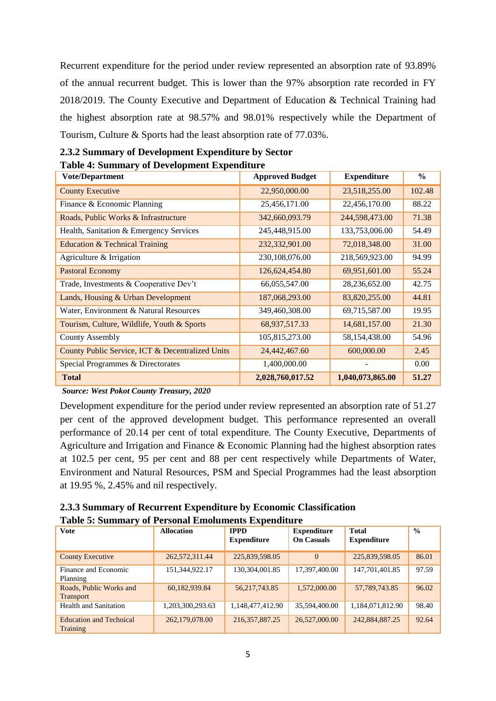Recurrent expenditure for the period under review represented an absorption rate of 93.89% of the annual recurrent budget. This is lower than the 97% absorption rate recorded in FY 2018/2019. The County Executive and Department of Education & Technical Training had the highest absorption rate at 98.57% and 98.01% respectively while the Department of Tourism, Culture & Sports had the least absorption rate of 77.03%.

<span id="page-11-2"></span>

| таря - осинные у от ретеюритене паренанате<br><b>Vote/Department</b> | <b>Approved Budget</b> | <b>Expenditure</b> | $\frac{0}{0}$ |
|----------------------------------------------------------------------|------------------------|--------------------|---------------|
| <b>County Executive</b>                                              | 22,950,000.00          | 23,518,255.00      | 102.48        |
| Finance & Economic Planning                                          | 25,456,171.00          | 22,456,170.00      | 88.22         |
| Roads, Public Works & Infrastructure                                 | 342,660,093.79         | 244,598,473.00     | 71.38         |
| Health, Sanitation & Emergency Services                              | 245,448,915.00         | 133,753,006.00     | 54.49         |
| Education & Technical Training                                       | 232,332,901.00         | 72,018,348.00      | 31.00         |
| Agriculture & Irrigation                                             | 230,108,076.00         | 218,569,923.00     | 94.99         |
| <b>Pastoral Economy</b>                                              | 126,624,454.80         | 69,951,601.00      | 55.24         |
| Trade, Investments & Cooperative Dev't                               | 66,055,547.00          | 28,236,652.00      | 42.75         |
| Lands, Housing & Urban Development                                   | 187,068,293.00         | 83,820,255.00      | 44.81         |
| Water, Environment & Natural Resources                               | 349,460,308.00         | 69,715,587.00      | 19.95         |
| Tourism, Culture, Wildlife, Youth & Sports                           | 68,937,517.33          | 14,681,157.00      | 21.30         |
| <b>County Assembly</b>                                               | 105,815,273.00         | 58,154,438.00      | 54.96         |
| County Public Service, ICT & Decentralized Units                     | 24,442,467.60          | 600,000.00         | 2.45          |
| Special Programmes & Directorates                                    | 1,400,000.00           |                    | 0.00          |
| <b>Total</b>                                                         | 2,028,760,017.52       | 1,040,073,865.00   | 51.27         |

<span id="page-11-0"></span>

| 2.3.2 Summary of Development Expenditure by Sector |
|----------------------------------------------------|
| <b>Table 4: Summary of Development Expenditure</b> |

*Source: West Pokot County Treasury, 2020*

Development expenditure for the period under review represented an absorption rate of 51.27 per cent of the approved development budget. This performance represented an overall performance of 20.14 per cent of total expenditure. The County Executive, Departments of Agriculture and Irrigation and Finance & Economic Planning had the highest absorption rates at 102.5 per cent, 95 per cent and 88 per cent respectively while Departments of Water, Environment and Natural Resources, PSM and Special Programmes had the least absorption at 19.95 %, 2.45% and nil respectively.

<span id="page-11-3"></span><span id="page-11-1"></span>

| 2.3.3 Summary of Recurrent Expenditure by Economic Classification |
|-------------------------------------------------------------------|
| <b>Table 5: Summary of Personal Emoluments Expenditure</b>        |

| <b>Vote</b>                                       | <b>Allocation</b> | <b>IPPD</b><br><b>Expenditure</b> | <b>Expenditure</b><br><b>On Casuals</b> | <b>Total</b><br><b>Expenditure</b> | $\frac{0}{0}$ |
|---------------------------------------------------|-------------------|-----------------------------------|-----------------------------------------|------------------------------------|---------------|
| <b>County Executive</b>                           | 262,572,311.44    | 225,839,598.05                    | $\Omega$                                | 225,839,598.05                     | 86.01         |
| Finance and Economic<br>Planning                  | 151,344,922.17    | 130,304,001.85                    | 17,397,400.00                           | 147,701,401.85                     | 97.59         |
| Roads, Public Works and<br><b>Transport</b>       | 60,182,939.84     | 56, 217, 743.85                   | 1,572,000.00                            | 57,789,743.85                      | 96.02         |
| <b>Health and Sanitation</b>                      | 1,203,300,293.63  | 1,148,477,412.90                  | 35,594,400.00                           | 1,184,071,812.90                   | 98.40         |
| <b>Education and Technical</b><br><b>Training</b> | 262,179,078.00    | 216, 357, 887. 25                 | 26,527,000.00                           | 242,884,887.25                     | 92.64         |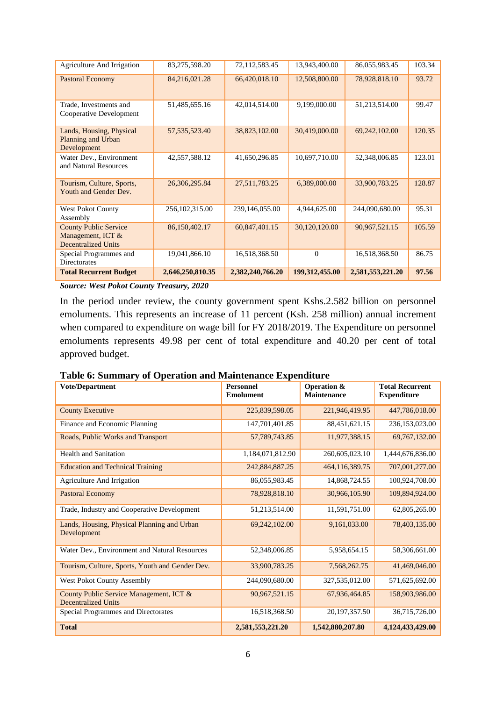| Agriculture And Irrigation                                                      | 83,275,598.20    | 72,112,583.45    | 13,943,400.00    | 86,055,983.45    | 103.34 |
|---------------------------------------------------------------------------------|------------------|------------------|------------------|------------------|--------|
| <b>Pastoral Economy</b>                                                         | 84,216,021.28    | 66,420,018.10    | 12,508,800.00    | 78,928,818.10    | 93.72  |
| Trade, Investments and<br>Cooperative Development                               | 51,485,655.16    | 42,014,514.00    | 9,199,000.00     | 51,213,514.00    | 99.47  |
| Lands, Housing, Physical<br>Planning and Urban<br>Development                   | 57, 535, 523. 40 | 38,823,102.00    | 30,419,000.00    | 69,242,102.00    | 120.35 |
| Water Dev., Environment<br>and Natural Resources                                | 42,557,588.12    | 41,650,296.85    | 10,697,710.00    | 52,348,006.85    | 123.01 |
| Tourism, Culture, Sports,<br>Youth and Gender Dev.                              | 26,306,295.84    | 27,511,783.25    | 6,389,000.00     | 33,900,783.25    | 128.87 |
| West Pokot County<br>Assembly                                                   | 256, 102, 315.00 | 239,146,055.00   | 4,944,625.00     | 244,090,680.00   | 95.31  |
| <b>County Public Service</b><br>Management, ICT &<br><b>Decentralized Units</b> | 86,150,402.17    | 60,847,401.15    | 30,120,120.00    | 90,967,521.15    | 105.59 |
| Special Programmes and<br>Directorates                                          | 19,041,866.10    | 16,518,368.50    | $\Omega$         | 16,518,368.50    | 86.75  |
| <b>Total Recurrent Budget</b>                                                   | 2,646,250,810.35 | 2,382,240,766.20 | 199, 312, 455.00 | 2,581,553,221.20 | 97.56  |

*Source: West Pokot County Treasury, 2020*

In the period under review, the county government spent Kshs.2.582 billion on personnel emoluments. This represents an increase of 11 percent (Ksh. 258 million) annual increment when compared to expenditure on wage bill for FY 2018/2019. The Expenditure on personnel emoluments represents 49.98 per cent of total expenditure and 40.20 per cent of total approved budget.

# <span id="page-12-0"></span>**Table 6: Summary of Operation and Maintenance Expenditure**

| <b>Vote/Department</b>                                                | <b>Personnel</b><br><b>Emolument</b> | <b>Operation &amp;</b><br><b>Maintenance</b> | <b>Total Recurrent</b><br><b>Expenditure</b> |
|-----------------------------------------------------------------------|--------------------------------------|----------------------------------------------|----------------------------------------------|
| <b>County Executive</b>                                               | 225,839,598.05                       | 221,946,419.95                               | 447,786,018.00                               |
| Finance and Economic Planning                                         | 147,701,401.85                       | 88,451,621.15                                | 236,153,023.00                               |
| Roads, Public Works and Transport                                     | 57,789,743.85                        | 11,977,388.15                                | 69,767,132.00                                |
| <b>Health and Sanitation</b>                                          | 1,184,071,812.90                     | 260,605,023.10                               | 1,444,676,836.00                             |
| <b>Education and Technical Training</b>                               | 242,884,887.25                       | 464,116,389.75                               | 707,001,277.00                               |
| Agriculture And Irrigation                                            | 86,055,983.45                        | 14,868,724.55                                | 100,924,708.00                               |
| <b>Pastoral Economy</b>                                               | 78,928,818.10                        | 30,966,105.90                                | 109,894,924.00                               |
| Trade, Industry and Cooperative Development                           | 51,213,514.00                        | 11,591,751.00                                | 62,805,265.00                                |
| Lands, Housing, Physical Planning and Urban<br>Development            | 69,242,102.00                        | 9,161,033.00                                 | 78,403,135.00                                |
| Water Dev., Environment and Natural Resources                         | 52,348,006.85                        | 5,958,654.15                                 | 58,306,661.00                                |
| Tourism, Culture, Sports, Youth and Gender Dev.                       | 33,900,783.25                        | 7,568,262.75                                 | 41,469,046.00                                |
| <b>West Pokot County Assembly</b>                                     | 244,090,680.00                       | 327,535,012.00                               | 571,625,692.00                               |
| County Public Service Management, ICT &<br><b>Decentralized Units</b> | 90,967,521.15                        | 67,936,464.85                                | 158,903,986.00                               |
| Special Programmes and Directorates                                   | 16,518,368.50                        | 20, 197, 357.50                              | 36,715,726.00                                |
| <b>Total</b>                                                          | 2,581,553,221.20                     | 1,542,880,207.80                             | 4,124,433,429.00                             |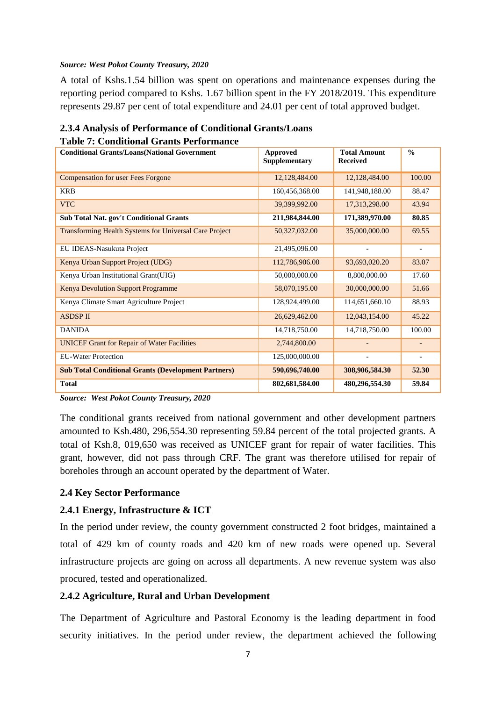#### *Source: West Pokot County Treasury, 2020*

A total of Kshs.1.54 billion was spent on operations and maintenance expenses during the reporting period compared to Kshs. 1.67 billion spent in the FY 2018/2019. This expenditure represents 29.87 per cent of total expenditure and 24.01 per cent of total approved budget.

### <span id="page-13-0"></span>**2.3.4 Analysis of Performance of Conditional Grants/Loans Table 7: Conditional Grants Performance**

<span id="page-13-2"></span>

| <b>Conditional Grants/Loans(National Government</b>           | <b>Approved</b><br><b>Supplementary</b> | <b>Total Amount</b><br><b>Received</b> | $\frac{0}{0}$            |
|---------------------------------------------------------------|-----------------------------------------|----------------------------------------|--------------------------|
| <b>Compensation for user Fees Forgone</b>                     | 12,128,484.00                           | 12,128,484.00                          | 100.00                   |
| <b>KRB</b>                                                    | 160,456,368.00                          | 141,948,188.00                         | 88.47                    |
| <b>VTC</b>                                                    | 39,399,992.00                           | 17,313,298.00                          | 43.94                    |
| Sub Total Nat. gov't Conditional Grants                       | 211,984,844.00                          | 171,389,970.00                         | 80.85                    |
| <b>Transforming Health Systems for Universal Care Project</b> | 50,327,032.00                           | 35,000,000.00                          | 69.55                    |
| EU IDEAS-Nasukuta Project                                     | 21,495,096.00                           | $\overline{a}$                         | $\overline{\phantom{a}}$ |
| Kenya Urban Support Project (UDG)                             | 112,786,906.00                          | 93,693,020.20                          | 83.07                    |
| Kenya Urban Institutional Grant(UIG)                          | 50,000,000.00                           | 8,800,000.00                           | 17.60                    |
| Kenya Devolution Support Programme                            | 58,070,195.00                           | 30,000,000.00                          | 51.66                    |
| Kenya Climate Smart Agriculture Project                       | 128,924,499.00                          | 114,651,660.10                         | 88.93                    |
| <b>ASDSP II</b>                                               | 26,629,462.00                           | 12,043,154.00                          | 45.22                    |
| <b>DANIDA</b>                                                 | 14,718,750.00                           | 14,718,750.00                          | 100.00                   |
| <b>UNICEF Grant for Repair of Water Facilities</b>            | 2,744,800.00                            |                                        |                          |
| <b>EU-Water Protection</b>                                    | 125,000,000.00                          | $\overline{a}$                         |                          |
| <b>Sub Total Conditional Grants (Development Partners)</b>    | 590,696,740.00                          | 308,906,584.30                         | 52.30                    |
| <b>Total</b>                                                  | 802,681,584.00                          | 480,296,554.30                         | 59.84                    |

*Source: West Pokot County Treasury, 2020*

The conditional grants received from national government and other development partners amounted to Ksh.480, 296,554.30 representing 59.84 percent of the total projected grants. A total of Ksh.8, 019,650 was received as UNICEF grant for repair of water facilities. This grant, however, did not pass through CRF. The grant was therefore utilised for repair of boreholes through an account operated by the department of Water.

# <span id="page-13-1"></span>**2.4 Key Sector Performance**

# **2.4.1 Energy, Infrastructure & ICT**

In the period under review, the county government constructed 2 foot bridges, maintained a total of 429 km of county roads and 420 km of new roads were opened up. Several infrastructure projects are going on across all departments. A new revenue system was also procured, tested and operationalized.

# **2.4.2 Agriculture, Rural and Urban Development**

The Department of Agriculture and Pastoral Economy is the leading department in food security initiatives. In the period under review, the department achieved the following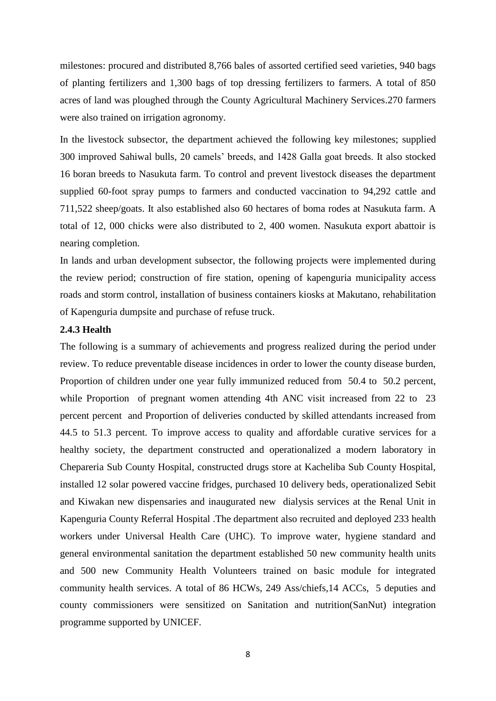milestones: procured and distributed 8,766 bales of assorted certified seed varieties, 940 bags of planting fertilizers and 1,300 bags of top dressing fertilizers to farmers. A total of 850 acres of land was ploughed through the County Agricultural Machinery Services.270 farmers were also trained on irrigation agronomy.

In the livestock subsector, the department achieved the following key milestones; supplied 300 improved Sahiwal bulls, 20 camels' breeds, and 1428 Galla goat breeds. It also stocked 16 boran breeds to Nasukuta farm. To control and prevent livestock diseases the department supplied 60-foot spray pumps to farmers and conducted vaccination to 94,292 cattle and 711,522 sheep/goats. It also established also 60 hectares of boma rodes at Nasukuta farm. A total of 12, 000 chicks were also distributed to 2, 400 women. Nasukuta export abattoir is nearing completion.

In lands and urban development subsector, the following projects were implemented during the review period; construction of fire station, opening of kapenguria municipality access roads and storm control, installation of business containers kiosks at Makutano, rehabilitation of Kapenguria dumpsite and purchase of refuse truck.

#### **2.4.3 Health**

The following is a summary of achievements and progress realized during the period under review. To reduce preventable disease incidences in order to lower the county disease burden, Proportion of children under one year fully immunized reduced from 50.4 to 50.2 percent, while Proportion of pregnant women attending 4th ANC visit increased from 22 to 23 percent percent and Proportion of deliveries conducted by skilled attendants increased from 44.5 to 51.3 percent. To improve access to quality and affordable curative services for a healthy society, the department constructed and operationalized a modern laboratory in Chepareria Sub County Hospital, constructed drugs store at Kacheliba Sub County Hospital, installed 12 solar powered vaccine fridges, purchased 10 delivery beds, operationalized Sebit and Kiwakan new dispensaries and inaugurated new dialysis services at the Renal Unit in Kapenguria County Referral Hospital .The department also recruited and deployed 233 health workers under Universal Health Care (UHC). To improve water, hygiene standard and general environmental sanitation the department established 50 new community health units and 500 new Community Health Volunteers trained on basic module for integrated community health services. A total of 86 HCWs, 249 Ass/chiefs,14 ACCs, 5 deputies and county commissioners were sensitized on Sanitation and nutrition(SanNut) integration programme supported by UNICEF.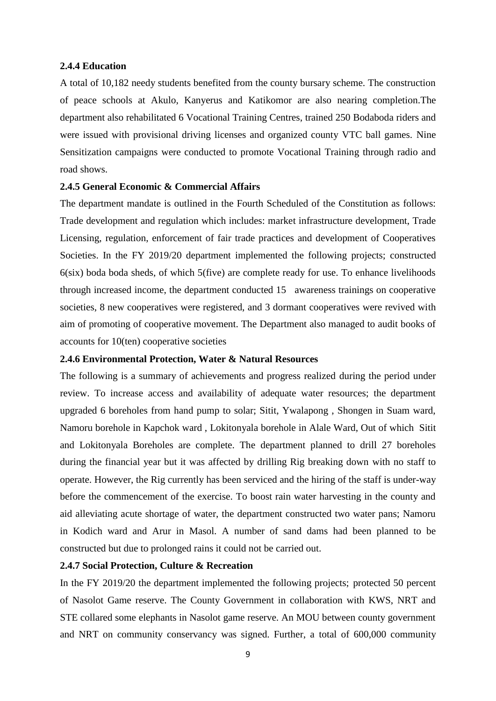#### **2.4.4 Education**

A total of 10,182 needy students benefited from the county bursary scheme. The construction of peace schools at Akulo, Kanyerus and Katikomor are also nearing completion.The department also rehabilitated 6 Vocational Training Centres, trained 250 Bodaboda riders and were issued with provisional driving licenses and organized county VTC ball games. Nine Sensitization campaigns were conducted to promote Vocational Training through radio and road shows.

#### **2.4.5 General Economic & Commercial Affairs**

The department mandate is outlined in the Fourth Scheduled of the Constitution as follows: Trade development and regulation which includes: market infrastructure development, Trade Licensing, regulation, enforcement of fair trade practices and development of Cooperatives Societies. In the FY 2019/20 department implemented the following projects; constructed  $6(six)$  boda boda sheds, of which  $5(five)$  are complete ready for use. To enhance livelihoods through increased income, the department conducted 15 awareness trainings on cooperative societies, 8 new cooperatives were registered, and 3 dormant cooperatives were revived with aim of promoting of cooperative movement. The Department also managed to audit books of accounts for 10(ten) cooperative societies

#### **2.4.6 Environmental Protection, Water & Natural Resources**

The following is a summary of achievements and progress realized during the period under review. To increase access and availability of adequate water resources; the department upgraded 6 boreholes from hand pump to solar; Sitit, Ywalapong , Shongen in Suam ward, Namoru borehole in Kapchok ward , Lokitonyala borehole in Alale Ward, Out of which Sitit and Lokitonyala Boreholes are complete. The department planned to drill 27 boreholes during the financial year but it was affected by drilling Rig breaking down with no staff to operate. However, the Rig currently has been serviced and the hiring of the staff is under-way before the commencement of the exercise. To boost rain water harvesting in the county and aid alleviating acute shortage of water, the department constructed two water pans; Namoru in Kodich ward and Arur in Masol. A number of sand dams had been planned to be constructed but due to prolonged rains it could not be carried out.

#### **2.4.7 Social Protection, Culture & Recreation**

In the FY 2019/20 the department implemented the following projects; protected 50 percent of Nasolot Game reserve. The County Government in collaboration with KWS, NRT and STE collared some elephants in Nasolot game reserve. An MOU between county government and NRT on community conservancy was signed. Further, a total of 600,000 community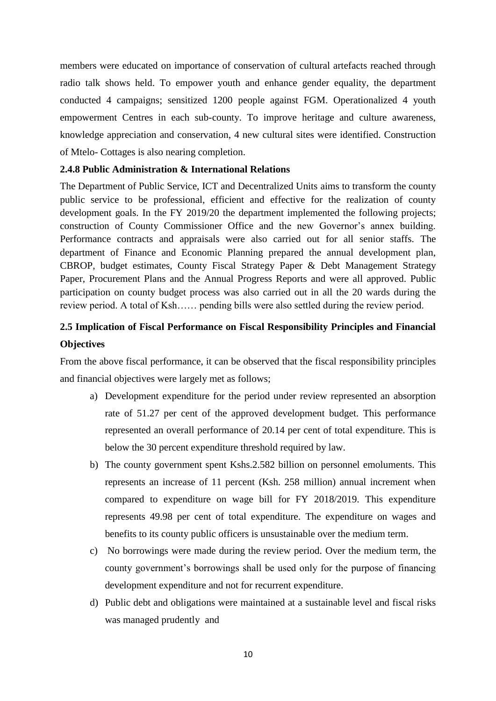members were educated on importance of conservation of cultural artefacts reached through radio talk shows held. To empower youth and enhance gender equality, the department conducted 4 campaigns; sensitized 1200 people against FGM. Operationalized 4 youth empowerment Centres in each sub-county. To improve heritage and culture awareness, knowledge appreciation and conservation, 4 new cultural sites were identified. Construction of Mtelo- Cottages is also nearing completion.

### **2.4.8 Public Administration & International Relations**

The Department of Public Service, ICT and Decentralized Units aims to transform the county public service to be professional, efficient and effective for the realization of county development goals. In the FY 2019/20 the department implemented the following projects; construction of County Commissioner Office and the new Governor's annex building. Performance contracts and appraisals were also carried out for all senior staffs. The department of Finance and Economic Planning prepared the annual development plan, CBROP, budget estimates, County Fiscal Strategy Paper & Debt Management Strategy Paper, Procurement Plans and the Annual Progress Reports and were all approved. Public participation on county budget process was also carried out in all the 20 wards during the review period. A total of Ksh…… pending bills were also settled during the review period.

# <span id="page-16-0"></span>**2.5 Implication of Fiscal Performance on Fiscal Responsibility Principles and Financial Objectives**

From the above fiscal performance, it can be observed that the fiscal responsibility principles and financial objectives were largely met as follows;

- a) Development expenditure for the period under review represented an absorption rate of 51.27 per cent of the approved development budget. This performance represented an overall performance of 20.14 per cent of total expenditure. This is below the 30 percent expenditure threshold required by law.
- b) The county government spent Kshs.2.582 billion on personnel emoluments. This represents an increase of 11 percent (Ksh. 258 million) annual increment when compared to expenditure on wage bill for FY 2018/2019. This expenditure represents 49.98 per cent of total expenditure. The expenditure on wages and benefits to its county public officers is unsustainable over the medium term.
- c) No borrowings were made during the review period. Over the medium term, the county government's borrowings shall be used only for the purpose of financing development expenditure and not for recurrent expenditure.
- d) Public debt and obligations were maintained at a sustainable level and fiscal risks was managed prudently and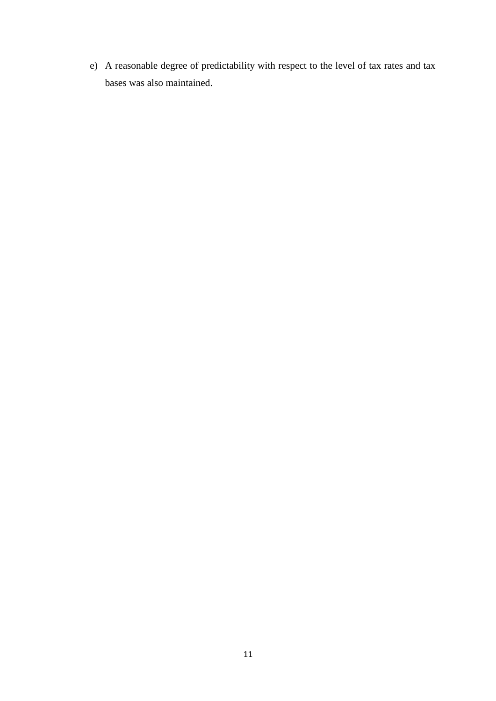e) A reasonable degree of predictability with respect to the level of tax rates and tax bases was also maintained.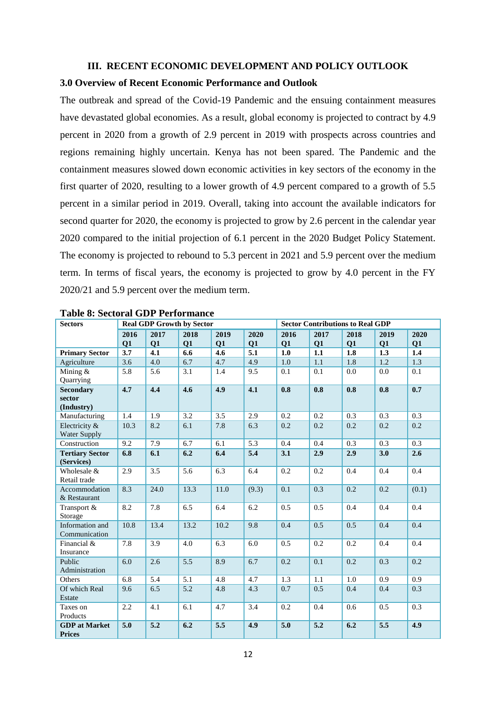#### **III. RECENT ECONOMIC DEVELOPMENT AND POLICY OUTLOOK**

#### <span id="page-18-1"></span><span id="page-18-0"></span>**3.0 Overview of Recent Economic Performance and Outlook**

The outbreak and spread of the Covid-19 Pandemic and the ensuing containment measures have devastated global economies. As a result, global economy is projected to contract by 4.9 percent in 2020 from a growth of 2.9 percent in 2019 with prospects across countries and regions remaining highly uncertain. Kenya has not been spared. The Pandemic and the containment measures slowed down economic activities in key sectors of the economy in the first quarter of 2020, resulting to a lower growth of 4.9 percent compared to a growth of 5.5 percent in a similar period in 2019. Overall, taking into account the available indicators for second quarter for 2020, the economy is projected to grow by 2.6 percent in the calendar year 2020 compared to the initial projection of 6.1 percent in the 2020 Budget Policy Statement. The economy is projected to rebound to 5.3 percent in 2021 and 5.9 percent over the medium term. In terms of fiscal years, the economy is projected to grow by 4.0 percent in the FY 2020/21 and 5.9 percent over the medium term.

| <b>Sectors</b>                           |      |      | <b>Real GDP Growth by Sector</b> |      |       |      | <b>Sector Contributions to Real GDP</b> |      |      |         |
|------------------------------------------|------|------|----------------------------------|------|-------|------|-----------------------------------------|------|------|---------|
|                                          | 2016 | 2017 | 2018                             | 2019 | 2020  | 2016 | 2017                                    | 2018 | 2019 | 2020    |
|                                          | Q1   | Q1   | Q1                               | Q1   | Q1    | Q1   | Q1                                      | Q1   | Q1   | Q1      |
| <b>Primary Sector</b>                    | 3.7  | 4.1  | 6.6                              | 4.6  | 5.1   | 1.0  | 1.1                                     | 1.8  | 1.3  | 1.4     |
| Agriculture                              | 3.6  | 4.0  | 6.7                              | 4.7  | 4.9   | 1.0  | 1.1                                     | 1.8  | 1.2  | 1.3     |
| Mining $&$<br>Quarrying                  | 5.8  | 5.6  | 3.1                              | 1.4  | 9.5   | 0.1  | 0.1                                     | 0.0  | 0.0  | 0.1     |
| <b>Secondary</b><br>sector<br>(Industry) | 4.7  | 4.4  | 4.6                              | 4.9  | 4.1   | 0.8  | 0.8                                     | 0.8  | 0.8  | 0.7     |
| Manufacturing                            | 1.4  | 1.9  | 3.2                              | 3.5  | 2.9   | 0.2  | 0.2                                     | 0.3  | 0.3  | 0.3     |
| Electricity &<br>Water Supply            | 10.3 | 8.2  | 6.1                              | 7.8  | 6.3   | 0.2  | 0.2                                     | 0.2  | 0.2  | 0.2     |
| Construction                             | 9.2  | 7.9  | 6.7                              | 6.1  | 5.3   | 0.4  | 0.4                                     | 0.3  | 0.3  | 0.3     |
| <b>Tertiary Sector</b><br>(Services)     | 6.8  | 6.1  | 6.2                              | 6.4  | 5.4   | 3.1  | 2.9                                     | 2.9  | 3.0  | 2.6     |
| Wholesale &<br>Retail trade              | 2.9  | 3.5  | 5.6                              | 6.3  | 6.4   | 0.2  | 0.2                                     | 0.4  | 0.4  | $0.4\,$ |
| Accommodation<br>& Restaurant            | 8.3  | 24.0 | 13.3                             | 11.0 | (9.3) | 0.1  | 0.3                                     | 0.2  | 0.2  | (0.1)   |
| Transport &<br>Storage                   | 8.2  | 7.8  | 6.5                              | 6.4  | 6.2   | 0.5  | 0.5                                     | 0.4  | 0.4  | 0.4     |
| Information and<br>Communication         | 10.8 | 13.4 | 13.2                             | 10.2 | 9.8   | 0.4  | 0.5                                     | 0.5  | 0.4  | 0.4     |
| Financial &<br>Insurance                 | 7.8  | 3.9  | 4.0                              | 6.3  | 6.0   | 0.5  | 0.2                                     | 0.2  | 0.4  | 0.4     |
| Public<br>Administration                 | 6.0  | 2.6  | $\overline{5.5}$                 | 8.9  | 6.7   | 0.2  | 0.1                                     | 0.2  | 0.3  | 0.2     |
| Others                                   | 6.8  | 5.4  | 5.1                              | 4.8  | 4.7   | 1.3  | 1.1                                     | 1.0  | 0.9  | 0.9     |
| Of which Real<br>Estate                  | 9.6  | 6.5  | 5.2                              | 4.8  | 4.3   | 0.7  | 0.5                                     | 0.4  | 0.4  | 0.3     |
| Taxes on<br>Products                     | 2.2  | 4.1  | 6.1                              | 4.7  | 3.4   | 0.2  | 0.4                                     | 0.6  | 0.5  | 0.3     |
| <b>GDP</b> at Market<br><b>Prices</b>    | 5.0  | 5.2  | 6.2                              | 5.5  | 4.9   | 5.0  | 5.2                                     | 6.2  | 5.5  | 4.9     |

<span id="page-18-2"></span>

| <b>Table 8: Sectoral GDP Performance</b> |  |  |
|------------------------------------------|--|--|
|------------------------------------------|--|--|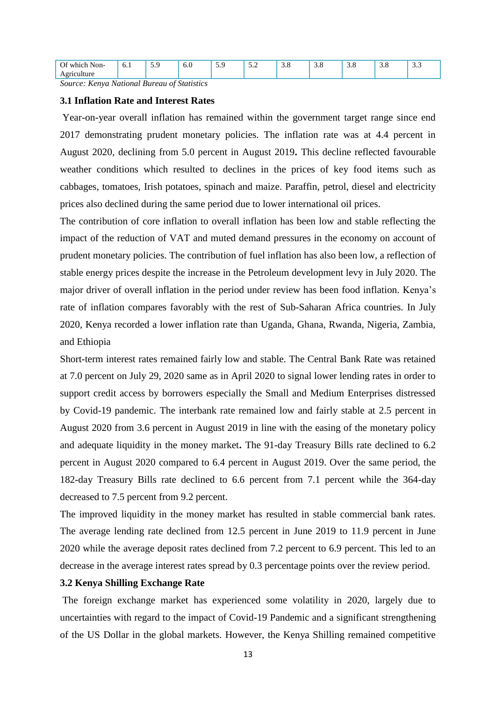| --<br>$\sim$ $\sim$<br>)t<br>. .<br>Non- | 0.1 | $\sim$ | v.v | ر . ب | $\sim$ $\sim$<br>$\cdots$ | $\cup$ .0 | $\cup$ . $\cup$ | $\cup$ . $\cup$ | 3.0 | ن. ب |
|------------------------------------------|-----|--------|-----|-------|---------------------------|-----------|-----------------|-----------------|-----|------|
|                                          |     |        |     |       |                           |           |                 |                 |     |      |
| ___<br>$\sim$                            | ___ |        | ___ |       |                           |           |                 |                 |     |      |

*Source: Kenya National Bureau of Statistics*

#### <span id="page-19-0"></span>**3.1 Inflation Rate and Interest Rates**

Year-on-year overall inflation has remained within the government target range since end 2017 demonstrating prudent monetary policies. The inflation rate was at 4.4 percent in August 2020, declining from 5.0 percent in August 2019**.** This decline reflected favourable weather conditions which resulted to declines in the prices of key food items such as cabbages, tomatoes, Irish potatoes, spinach and maize. Paraffin, petrol, diesel and electricity prices also declined during the same period due to lower international oil prices.

The contribution of core inflation to overall inflation has been low and stable reflecting the impact of the reduction of VAT and muted demand pressures in the economy on account of prudent monetary policies. The contribution of fuel inflation has also been low, a reflection of stable energy prices despite the increase in the Petroleum development levy in July 2020. The major driver of overall inflation in the period under review has been food inflation. Kenya's rate of inflation compares favorably with the rest of Sub-Saharan Africa countries. In July 2020, Kenya recorded a lower inflation rate than Uganda, Ghana, Rwanda, Nigeria, Zambia, and Ethiopia

Short-term interest rates remained fairly low and stable. The Central Bank Rate was retained at 7.0 percent on July 29, 2020 same as in April 2020 to signal lower lending rates in order to support credit access by borrowers especially the Small and Medium Enterprises distressed by Covid-19 pandemic. The interbank rate remained low and fairly stable at 2.5 percent in August 2020 from 3.6 percent in August 2019 in line with the easing of the monetary policy and adequate liquidity in the money market**.** The 91-day Treasury Bills rate declined to 6.2 percent in August 2020 compared to 6.4 percent in August 2019. Over the same period, the 182-day Treasury Bills rate declined to 6.6 percent from 7.1 percent while the 364-day decreased to 7.5 percent from 9.2 percent.

The improved liquidity in the money market has resulted in stable commercial bank rates. The average lending rate declined from 12.5 percent in June 2019 to 11.9 percent in June 2020 while the average deposit rates declined from 7.2 percent to 6.9 percent. This led to an decrease in the average interest rates spread by 0.3 percentage points over the review period.

#### <span id="page-19-1"></span>**3.2 Kenya Shilling Exchange Rate**

The foreign exchange market has experienced some volatility in 2020, largely due to uncertainties with regard to the impact of Covid-19 Pandemic and a significant strengthening of the US Dollar in the global markets. However, the Kenya Shilling remained competitive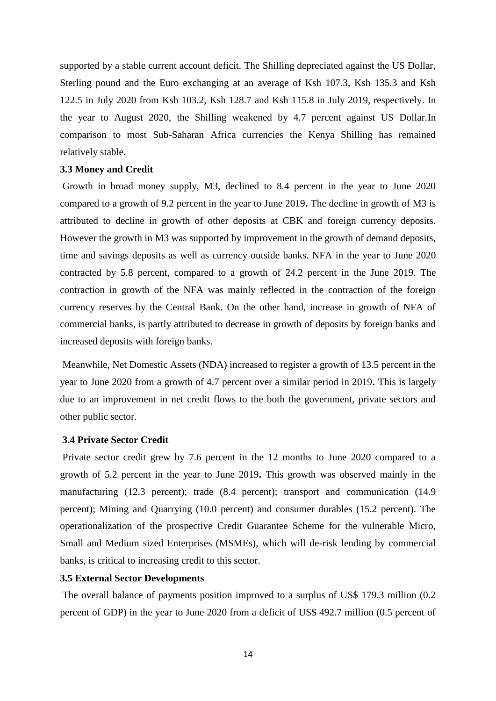supported by a stable current account deficit. The Shilling depreciated against the US Dollar, Sterling pound and the Euro exchanging at an average of Ksh 107.3, Ksh 135.3 and Ksh 122.5 in July 2020 from Ksh 103.2, Ksh 128.7 and Ksh 115.8 in July 2019, respectively. In the year to August 2020, the Shilling weakened by 4.7 percent against US Dollar.In comparison to most Sub-Saharan Africa currencies the Kenya Shilling has remained relatively stable**.** 

#### <span id="page-20-0"></span>**3.3 Money and Credit**

Growth in broad money supply, M3, declined to 8.4 percent in the year to June 2020 compared to a growth of 9.2 percent in the year to June 2019**.** The decline in growth of M3 is attributed to decline in growth of other deposits at CBK and foreign currency deposits. However the growth in M3 was supported by improvement in the growth of demand deposits, time and savings deposits as well as currency outside banks. NFA in the year to June 2020 contracted by 5.8 percent, compared to a growth of 24.2 percent in the June 2019. The contraction in growth of the NFA was mainly reflected in the contraction of the foreign currency reserves by the Central Bank. On the other hand, increase in growth of NFA of commercial banks, is partly attributed to decrease in growth of deposits by foreign banks and increased deposits with foreign banks.

Meanwhile, Net Domestic Assets (NDA) increased to register a growth of 13.5 percent in the year to June 2020 from a growth of 4.7 percent over a similar period in 2019**.** This is largely due to an improvement in net credit flows to the both the government, private sectors and other public sector.

#### <span id="page-20-1"></span>**3.4 Private Sector Credit**

Private sector credit grew by 7.6 percent in the 12 months to June 2020 compared to a growth of 5.2 percent in the year to June 2019**.** This growth was observed mainly in the manufacturing (12.3 percent); trade (8.4 percent); transport and communication (14.9 percent); Mining and Quarrying (10.0 percent) and consumer durables (15.2 percent). The operationalization of the prospective Credit Guarantee Scheme for the vulnerable Micro, Small and Medium sized Enterprises (MSMEs), which will de-risk lending by commercial banks, is critical to increasing credit to this sector.

### <span id="page-20-2"></span>**3.5 External Sector Developments**

The overall balance of payments position improved to a surplus of US\$ 179.3 million (0.2 percent of GDP) in the year to June 2020 from a deficit of US\$ 492.7 million (0.5 percent of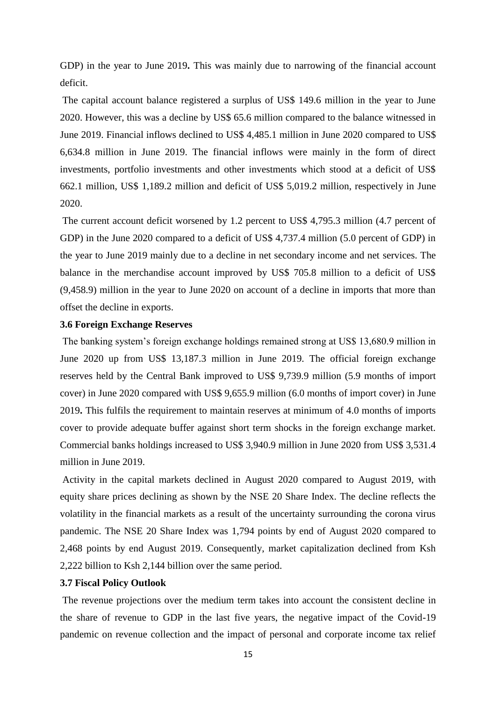GDP) in the year to June 2019**.** This was mainly due to narrowing of the financial account deficit.

The capital account balance registered a surplus of US\$ 149.6 million in the year to June 2020. However, this was a decline by US\$ 65.6 million compared to the balance witnessed in June 2019. Financial inflows declined to US\$ 4,485.1 million in June 2020 compared to US\$ 6,634.8 million in June 2019. The financial inflows were mainly in the form of direct investments, portfolio investments and other investments which stood at a deficit of US\$ 662.1 million, US\$ 1,189.2 million and deficit of US\$ 5,019.2 million, respectively in June 2020.

The current account deficit worsened by 1.2 percent to US\$ 4,795.3 million (4.7 percent of GDP) in the June 2020 compared to a deficit of US\$ 4,737.4 million (5.0 percent of GDP) in the year to June 2019 mainly due to a decline in net secondary income and net services. The balance in the merchandise account improved by US\$ 705.8 million to a deficit of US\$ (9,458.9) million in the year to June 2020 on account of a decline in imports that more than offset the decline in exports.

#### <span id="page-21-0"></span>**3.6 Foreign Exchange Reserves**

The banking system's foreign exchange holdings remained strong at US\$ 13,680.9 million in June 2020 up from US\$ 13,187.3 million in June 2019. The official foreign exchange reserves held by the Central Bank improved to US\$ 9,739.9 million (5.9 months of import cover) in June 2020 compared with US\$ 9,655.9 million (6.0 months of import cover) in June 2019**.** This fulfils the requirement to maintain reserves at minimum of 4.0 months of imports cover to provide adequate buffer against short term shocks in the foreign exchange market. Commercial banks holdings increased to US\$ 3,940.9 million in June 2020 from US\$ 3,531.4 million in June 2019.

Activity in the capital markets declined in August 2020 compared to August 2019, with equity share prices declining as shown by the NSE 20 Share Index. The decline reflects the volatility in the financial markets as a result of the uncertainty surrounding the corona virus pandemic. The NSE 20 Share Index was 1,794 points by end of August 2020 compared to 2,468 points by end August 2019. Consequently, market capitalization declined from Ksh 2,222 billion to Ksh 2,144 billion over the same period.

#### <span id="page-21-1"></span>**3.7 Fiscal Policy Outlook**

The revenue projections over the medium term takes into account the consistent decline in the share of revenue to GDP in the last five years, the negative impact of the Covid-19 pandemic on revenue collection and the impact of personal and corporate income tax relief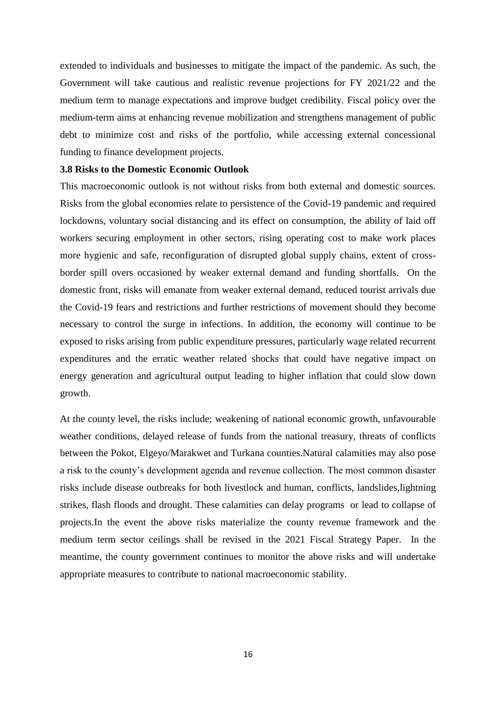extended to individuals and businesses to mitigate the impact of the pandemic. As such, the Government will take cautious and realistic revenue projections for FY 2021/22 and the medium term to manage expectations and improve budget credibility. Fiscal policy over the medium-term aims at enhancing revenue mobilization and strengthens management of public debt to minimize cost and risks of the portfolio, while accessing external concessional funding to finance development projects.

#### <span id="page-22-0"></span>**3.8 Risks to the Domestic Economic Outlook**

This macroeconomic outlook is not without risks from both external and domestic sources. Risks from the global economies relate to persistence of the Covid-19 pandemic and required lockdowns, voluntary social distancing and its effect on consumption, the ability of laid off workers securing employment in other sectors, rising operating cost to make work places more hygienic and safe, reconfiguration of disrupted global supply chains, extent of crossborder spill overs occasioned by weaker external demand and funding shortfalls. On the domestic front, risks will emanate from weaker external demand, reduced tourist arrivals due the Covid-19 fears and restrictions and further restrictions of movement should they become necessary to control the surge in infections. In addition, the economy will continue to be exposed to risks arising from public expenditure pressures, particularly wage related recurrent expenditures and the erratic weather related shocks that could have negative impact on energy generation and agricultural output leading to higher inflation that could slow down growth.

At the county level, the risks include; weakening of national economic growth, unfavourable weather conditions, delayed release of funds from the national treasury, threats of conflicts between the Pokot, Elgeyo/Marakwet and Turkana counties.Natural calamities may also pose a risk to the county's development agenda and revenue collection. The most common disaster risks include disease outbreaks for both livestlock and human, conflicts, landslides,lightning strikes, flash floods and drought. These calamities can delay programs or lead to collapse of projects.In the event the above risks materialize the county revenue framework and the medium term sector ceilings shall be revised in the 2021 Fiscal Strategy Paper. In the meantime, the county government continues to monitor the above risks and will undertake appropriate measures to contribute to national macroeconomic stability.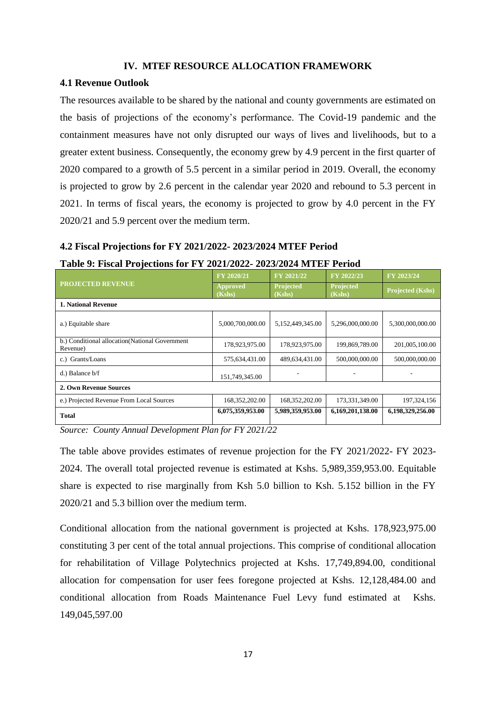#### **IV. MTEF RESOURCE ALLOCATION FRAMEWORK**

#### <span id="page-23-1"></span><span id="page-23-0"></span>**4.1 Revenue Outlook**

The resources available to be shared by the national and county governments are estimated on the basis of projections of the economy's performance. The Covid-19 pandemic and the containment measures have not only disrupted our ways of lives and livelihoods, but to a greater extent business. Consequently, the economy grew by 4.9 percent in the first quarter of 2020 compared to a growth of 5.5 percent in a similar period in 2019. Overall, the economy is projected to grow by 2.6 percent in the calendar year 2020 and rebound to 5.3 percent in 2021. In terms of fiscal years, the economy is projected to grow by 4.0 percent in the FY 2020/21 and 5.9 percent over the medium term.

# <span id="page-23-2"></span>**4.2 Fiscal Projections for FY 2021/2022- 2023/2024 MTEF Period**

#### <span id="page-23-3"></span>**Table 9: Fiscal Projections for FY 2021/2022- 2023/2024 MTEF Period**

|                                                             | FY 2020/21                | FY 2021/22          | FY 2022/23          | FY 2023/24       |
|-------------------------------------------------------------|---------------------------|---------------------|---------------------|------------------|
| <b>PROJECTED REVENUE</b>                                    | <b>Approved</b><br>(Kshs) | Projected<br>(Kshs) | Projected<br>(Kshs) | Projected (Kshs) |
| <b>1. National Revenue</b>                                  |                           |                     |                     |                  |
| a.) Equitable share                                         | 5,000,700,000.00          | 5,152,449,345.00    | 5,296,000,000.00    | 5,300,000,000.00 |
| b.) Conditional allocation (National Government<br>Revenue) | 178,923,975.00            | 178,923,975.00      | 199,869,789.00      | 201,005,100.00   |
| c.) Grants/Loans                                            | 575,634,431.00            | 489,634,431.00      | 500,000,000.00      | 500,000,000.00   |
| $d.$ ) Balance $b/f$                                        | 151,749,345.00            |                     |                     |                  |
| 2. Own Revenue Sources                                      |                           |                     |                     |                  |
| e.) Projected Revenue From Local Sources                    | 168, 352, 202. 00         | 168,352,202.00      | 173,331,349.00      | 197, 324, 156    |
| Total                                                       | 6,075,359,953.00          | 5,989,359,953.00    | 6,169,201,138.00    | 6,198,329,256.00 |

*Source: County Annual Development Plan for FY 2021/22*

The table above provides estimates of revenue projection for the FY 2021/2022- FY 2023- 2024. The overall total projected revenue is estimated at Kshs. 5,989,359,953.00. Equitable share is expected to rise marginally from Ksh 5.0 billion to Ksh. 5.152 billion in the FY 2020/21 and 5.3 billion over the medium term.

Conditional allocation from the national government is projected at Kshs. 178,923,975.00 constituting 3 per cent of the total annual projections. This comprise of conditional allocation for rehabilitation of Village Polytechnics projected at Kshs. 17,749,894.00, conditional allocation for compensation for user fees foregone projected at Kshs. 12,128,484.00 and conditional allocation from Roads Maintenance Fuel Levy fund estimated at Kshs. 149,045,597.00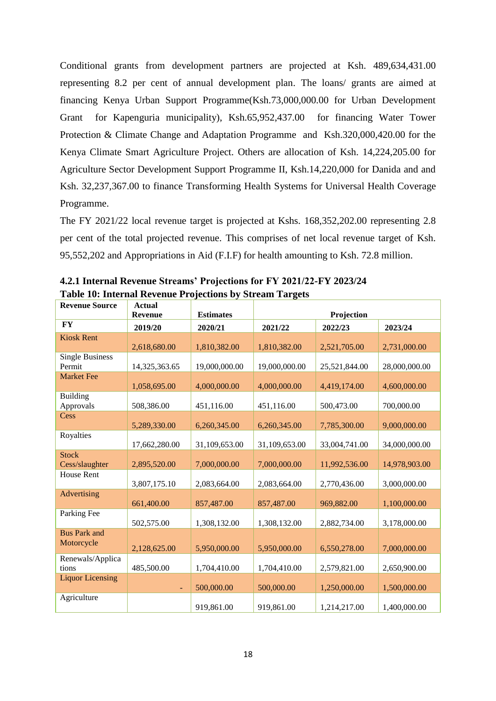Conditional grants from development partners are projected at Ksh. 489,634,431.00 representing 8.2 per cent of annual development plan. The loans/ grants are aimed at financing Kenya Urban Support Programme(Ksh.73,000,000.00 for Urban Development Grant for Kapenguria municipality), Ksh.65,952,437.00 for financing Water Tower Protection & Climate Change and Adaptation Programme and Ksh.320,000,420.00 for the Kenya Climate Smart Agriculture Project. Others are allocation of Ksh. 14,224,205.00 for Agriculture Sector Development Support Programme II, Ksh.14,220,000 for Danida and and Ksh. 32,237,367.00 to finance Transforming Health Systems for Universal Health Coverage Programme.

The FY 2021/22 local revenue target is projected at Kshs. 168,352,202.00 representing 2.8 per cent of the total projected revenue. This comprises of net local revenue target of Ksh. 95,552,202 and Appropriations in Aid (F.I.F) for health amounting to Ksh. 72.8 million.

| <b>Revenue Source</b>   | <b>Actual</b>  |                  |               |               |               |
|-------------------------|----------------|------------------|---------------|---------------|---------------|
|                         | <b>Revenue</b> | <b>Estimates</b> |               | Projection    |               |
| <b>FY</b>               | 2019/20        | 2020/21          | 2021/22       | 2022/23       | 2023/24       |
| <b>Kiosk Rent</b>       |                |                  |               |               |               |
|                         | 2,618,680.00   | 1,810,382.00     | 1,810,382.00  | 2,521,705.00  | 2,731,000.00  |
| <b>Single Business</b>  |                |                  |               |               |               |
| Permit                  | 14,325,363.65  | 19,000,000.00    | 19,000,000.00 | 25,521,844.00 | 28,000,000.00 |
| <b>Market Fee</b>       |                |                  |               |               |               |
|                         | 1,058,695.00   | 4,000,000.00     | 4,000,000.00  | 4,419,174.00  | 4,600,000.00  |
| <b>Building</b>         |                |                  |               |               |               |
| Approvals               | 508,386.00     | 451,116.00       | 451,116.00    | 500,473.00    | 700,000.00    |
| Cess                    |                |                  |               |               |               |
|                         | 5,289,330.00   | 6,260,345.00     | 6,260,345.00  | 7,785,300.00  | 9,000,000.00  |
| Royalties               |                |                  |               |               |               |
|                         | 17,662,280.00  | 31,109,653.00    | 31,109,653.00 | 33,004,741.00 | 34,000,000.00 |
| <b>Stock</b>            |                |                  |               |               |               |
| Cess/slaughter          | 2,895,520.00   | 7,000,000.00     | 7,000,000.00  | 11,992,536.00 | 14,978,903.00 |
| House Rent              |                |                  |               |               |               |
|                         | 3,807,175.10   | 2,083,664.00     | 2,083,664.00  | 2,770,436.00  | 3,000,000.00  |
| Advertising             | 661,400.00     | 857,487.00       | 857,487.00    | 969,882.00    | 1,100,000.00  |
| Parking Fee             |                |                  |               |               |               |
|                         | 502,575.00     | 1,308,132.00     | 1,308,132.00  | 2,882,734.00  | 3,178,000.00  |
| <b>Bus Park and</b>     |                |                  |               |               |               |
| Motorcycle              |                |                  |               |               |               |
|                         | 2,128,625.00   | 5,950,000.00     | 5,950,000.00  | 6,550,278.00  | 7,000,000.00  |
| Renewals/Applica        |                |                  |               |               |               |
| tions                   | 485,500.00     | 1,704,410.00     | 1,704,410.00  | 2,579,821.00  | 2,650,900.00  |
| <b>Liquor Licensing</b> | $\equiv$       | 500,000.00       | 500,000.00    | 1,250,000.00  | 1,500,000.00  |
| Agriculture             |                |                  |               |               |               |
|                         |                | 919,861.00       | 919,861.00    | 1,214,217.00  | 1,400,000.00  |

<span id="page-24-1"></span><span id="page-24-0"></span>**4.2.1 Internal Revenue Streams' Projections for FY 2021/22-FY 2023/24 Table 10: Internal Revenue Projections by Stream Targets**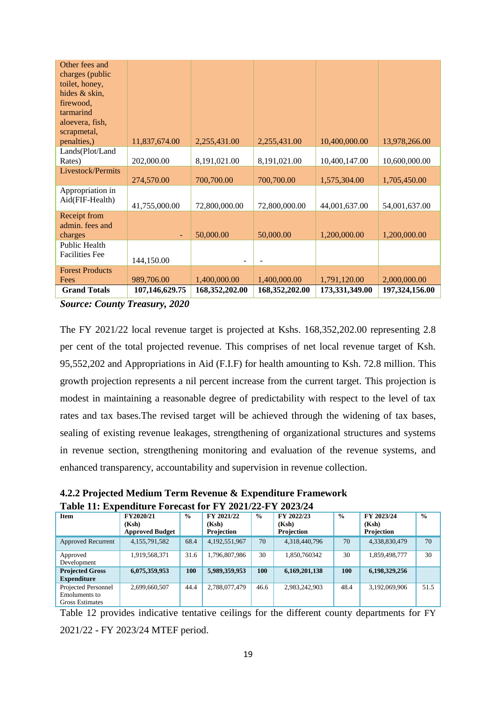| Other fees and<br>charges (public<br>toilet, honey,<br>hides & skin, |                |                  |                  |                |                |
|----------------------------------------------------------------------|----------------|------------------|------------------|----------------|----------------|
| firewood,<br>tarmarind<br>aloevera, fish,                            |                |                  |                  |                |                |
| scrapmetal,<br>penalties,)                                           | 11,837,674.00  | 2,255,431.00     | 2,255,431.00     | 10,400,000.00  | 13,978,266.00  |
| Lands(Plot/Land<br>Rates)                                            | 202,000.00     | 8,191,021.00     | 8,191,021.00     | 10,400,147.00  | 10,600,000.00  |
| Livestock/Permits                                                    | 274,570.00     | 700,700.00       | 700,700.00       | 1,575,304.00   | 1,705,450.00   |
| Appropriation in<br>Aid(FIF-Health)                                  | 41,755,000.00  | 72,800,000.00    | 72,800,000.00    | 44,001,637.00  | 54,001,637.00  |
| Receipt from<br>admin. fees and<br>charges                           | ٠              | 50,000.00        | 50,000.00        | 1,200,000.00   | 1,200,000.00   |
| Public Health<br><b>Facilities Fee</b>                               | 144,150.00     |                  |                  |                |                |
| <b>Forest Products</b><br>Fees                                       | 989,706.00     | 1,400,000.00     | 1,400,000.00     | 1,791,120.00   | 2,000,000.00   |
| <b>Grand Totals</b>                                                  | 107,146,629.75 | 168, 352, 202.00 | 168, 352, 202.00 | 173,331,349.00 | 197,324,156.00 |

*Source: County Treasury, 2020*

The FY 2021/22 local revenue target is projected at Kshs. 168,352,202.00 representing 2.8 per cent of the total projected revenue. This comprises of net local revenue target of Ksh. 95,552,202 and Appropriations in Aid (F.I.F) for health amounting to Ksh. 72.8 million. This growth projection represents a nil percent increase from the current target. This projection is modest in maintaining a reasonable degree of predictability with respect to the level of tax rates and tax bases.The revised target will be achieved through the widening of tax bases, sealing of existing revenue leakages, strengthening of organizational structures and systems in revenue section, strengthening monitoring and evaluation of the revenue systems, and enhanced transparency, accountability and supervision in revenue collection.

<span id="page-25-0"></span>**4.2.2 Projected Medium Term Revenue & Expenditure Framework Table 11: Expenditure Forecast for FY 2021/22-FY 2023/24**

<span id="page-25-2"></span>

| <b>Item</b>                                                           | FY2020/21              | $\frac{0}{0}$ | FY 2021/22        | $\frac{0}{0}$ | FY 2022/23    | $\frac{0}{0}$ | FY 2023/24    | $\frac{0}{0}$ |
|-----------------------------------------------------------------------|------------------------|---------------|-------------------|---------------|---------------|---------------|---------------|---------------|
|                                                                       | (Ksh)                  |               | (Ksh)             |               | (Ksh)         |               | (Ksh)         |               |
|                                                                       | <b>Approved Budget</b> |               | <b>Projection</b> |               | Projection    |               | Projection    |               |
| Approved Recurrent                                                    | 4,155,791,582          | 68.4          | 4,192,551,967     | 70            | 4,318,440,796 | 70            | 4,338,830,479 | 70            |
| Approved<br>Development                                               | 1,919,568,371          | 31.6          | 1,796,807,986     | 30            | 1,850,760342  | 30            | 1,859,498,777 | 30            |
| <b>Projected Gross</b><br><b>Expenditure</b>                          | 6,075,359,953          | 100           | 5,989,359,953     | 100           | 6,169,201,138 | <b>100</b>    | 6,198,329,256 |               |
| Projected Personnel<br><b>Emoluments</b> to<br><b>Gross Estimates</b> | 2,699,660,507          | 44.4          | 2,788,077,479     | 46.6          | 2,983,242,903 | 48.4          | 3,192,069,906 | 51.5          |

<span id="page-25-1"></span>Table 12 provides indicative tentative ceilings for the different county departments for FY 2021/22 - FY 2023/24 MTEF period.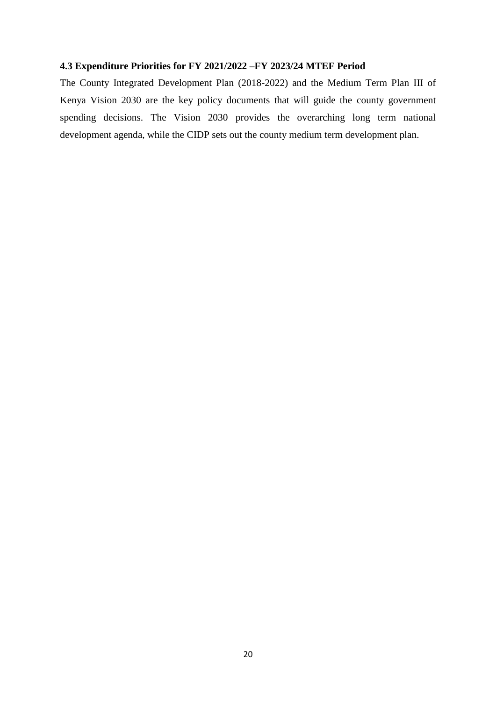#### **4.3 Expenditure Priorities for FY 2021/2022 –FY 2023/24 MTEF Period**

The County Integrated Development Plan (2018-2022) and the Medium Term Plan III of Kenya Vision 2030 are the key policy documents that will guide the county government spending decisions. The Vision 2030 provides the overarching long term national development agenda, while the CIDP sets out the county medium term development plan.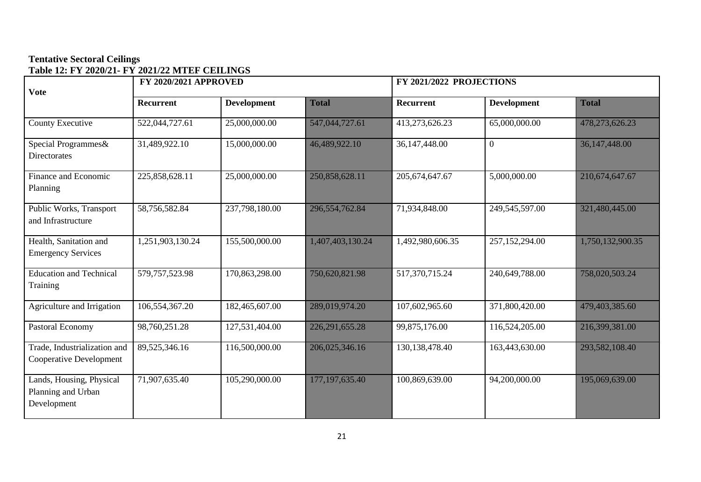# **Tentative Sectoral Ceilings Table 12: FY 2020/21- FY 2021/22 MTEF CEILINGS**

<span id="page-27-0"></span>

| <b>Vote</b>                                                   | <b>FY 2020/2021 APPROVED</b> |                    |                   |                   | FY 2021/2022 PROJECTIONS |                  |  |  |
|---------------------------------------------------------------|------------------------------|--------------------|-------------------|-------------------|--------------------------|------------------|--|--|
|                                                               | Recurrent                    | <b>Development</b> | <b>Total</b>      | Recurrent         | <b>Development</b>       | <b>Total</b>     |  |  |
| County Executive                                              | 522,044,727.61               | 25,000,000.00      | 547,044,727.61    | 413,273,626.23    | 65,000,000.00            | 478,273,626.23   |  |  |
| Special Programmes&<br><b>Directorates</b>                    | 31,489,922.10                | 15,000,000.00      | 46,489,922.10     | 36,147,448.00     | $\overline{0}$           | 36,147,448.00    |  |  |
| Finance and Economic<br>Planning                              | 225,858,628.11               | 25,000,000.00      | 250,858,628.11    | 205, 674, 647. 67 | 5,000,000.00             | 210,674,647.67   |  |  |
| Public Works, Transport<br>and Infrastructure                 | 58,756,582.84                | 237,798,180.00     | 296,554,762.84    | 71,934,848.00     | 249,545,597.00           | 321,480,445.00   |  |  |
| Health, Sanitation and<br><b>Emergency Services</b>           | 1,251,903,130.24             | 155,500,000.00     | 1,407,403,130.24  | 1,492,980,606.35  | 257,152,294.00           | 1,750,132,900.35 |  |  |
| <b>Education and Technical</b><br>Training                    | 579, 757, 523. 98            | 170,863,298.00     | 750,620,821.98    | 517,370,715.24    | 240,649,788.00           | 758,020,503.24   |  |  |
| Agriculture and Irrigation                                    | 106,554,367.20               | 182,465,607.00     | 289,019,974.20    | 107,602,965.60    | 371,800,420.00           | 479,403,385.60   |  |  |
| Pastoral Economy                                              | 98,760,251.28                | 127,531,404.00     | 226, 291, 655. 28 | 99,875,176.00     | 116,524,205.00           | 216,399,381.00   |  |  |
| Trade, Industrialization and<br>Cooperative Development       | 89,525,346.16                | 116,500,000.00     | 206,025,346.16    | 130, 138, 478. 40 | 163,443,630.00           | 293,582,108.40   |  |  |
| Lands, Housing, Physical<br>Planning and Urban<br>Development | 71,907,635.40                | 105,290,000.00     | 177, 197, 635. 40 | 100,869,639.00    | 94,200,000.00            | 195,069,639.00   |  |  |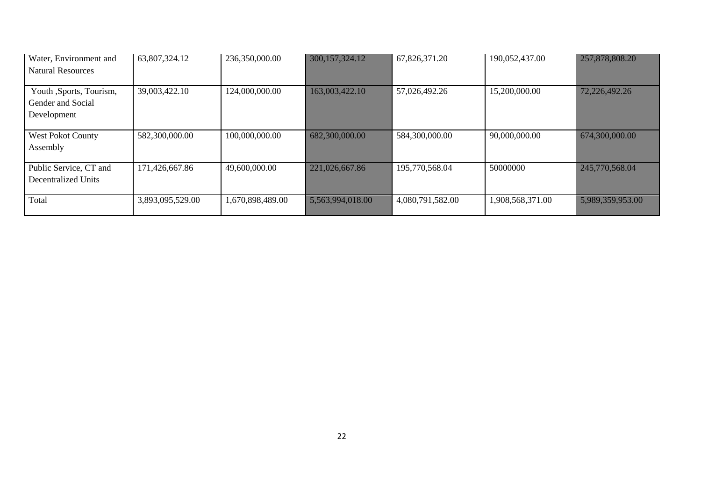| Water, Environment and<br><b>Natural Resources</b>          | 63,807,324.12    | 236,350,000.00   | 300, 157, 324. 12 | 67,826,371.20    | 190,052,437.00   | 257,878,808.20   |
|-------------------------------------------------------------|------------------|------------------|-------------------|------------------|------------------|------------------|
| Youth ,Sports, Tourism,<br>Gender and Social<br>Development | 39,003,422.10    | 124,000,000.00   | 163,003,422.10    | 57,026,492.26    | 15,200,000.00    | 72,226,492.26    |
| <b>West Pokot County</b><br>Assembly                        | 582,300,000.00   | 100,000,000.00   | 682,300,000.00    | 584,300,000.00   | 90,000,000.00    | 674,300,000.00   |
| Public Service, CT and<br>Decentralized Units               | 171,426,667.86   | 49,600,000.00    | 221,026,667.86    | 195,770,568.04   | 50000000         | 245,770,568.04   |
| Total                                                       | 3,893,095,529.00 | 1,670,898,489.00 | 5,563,994,018.00  | 4,080,791,582.00 | 1,908,568,371.00 | 5,989,359,953.00 |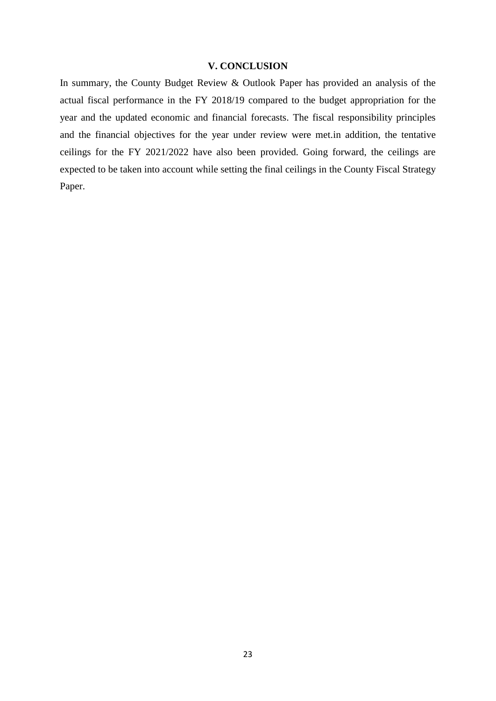#### **V. CONCLUSION**

<span id="page-29-0"></span>In summary, the County Budget Review & Outlook Paper has provided an analysis of the actual fiscal performance in the FY 2018/19 compared to the budget appropriation for the year and the updated economic and financial forecasts. The fiscal responsibility principles and the financial objectives for the year under review were met.in addition, the tentative ceilings for the FY 2021/2022 have also been provided. Going forward, the ceilings are expected to be taken into account while setting the final ceilings in the County Fiscal Strategy Paper.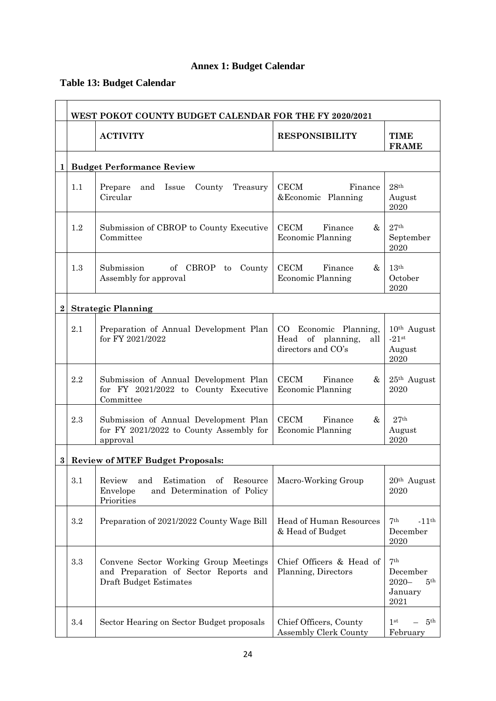# **Annex 1: Budget Calendar**

# <span id="page-30-1"></span><span id="page-30-0"></span>**Table 13: Budget Calendar**

|          |                                         | WEST POKOT COUNTY BUDGET CALENDAR FOR THE FY 2020/2021                                                                |                                                                            |                                                                               |  |  |  |
|----------|-----------------------------------------|-----------------------------------------------------------------------------------------------------------------------|----------------------------------------------------------------------------|-------------------------------------------------------------------------------|--|--|--|
|          |                                         | <b>ACTIVITY</b>                                                                                                       | <b>RESPONSIBILITY</b>                                                      | <b>TIME</b><br><b>FRAME</b>                                                   |  |  |  |
| 1        |                                         | <b>Budget Performance Review</b>                                                                                      |                                                                            |                                                                               |  |  |  |
|          | 1.1                                     | Prepare<br>and Issue<br>County<br>Treasury<br>Circular                                                                | <b>CECM</b><br>Finance<br>& Economic Planning                              | 28 <sup>th</sup><br>August<br>2020                                            |  |  |  |
|          | 1.2                                     | Submission of CBROP to County Executive<br>Committee                                                                  | <b>CECM</b><br>Finance<br>&<br><b>Economic Planning</b>                    | $27^{\rm th}$<br>September<br>2020                                            |  |  |  |
|          | 1.3                                     | <b>CECM</b><br>Submission<br>of CBROP<br>Finance<br>County<br>to<br><b>Economic Planning</b><br>Assembly for approval |                                                                            | 13 <sup>th</sup><br>October<br>2020                                           |  |  |  |
| $\bf{2}$ |                                         | <b>Strategic Planning</b>                                                                                             |                                                                            |                                                                               |  |  |  |
|          | 2.1                                     | Preparation of Annual Development Plan<br>for FY 2021/2022                                                            | CO Economic Planning,<br>of planning,<br>Head<br>all<br>directors and CO's | $10th$ August<br>$-21$ st<br>August<br>2020                                   |  |  |  |
|          | 2.2                                     | Submission of Annual Development Plan<br>for FY 2021/2022 to County Executive<br>Committee                            | <b>CECM</b><br>Finance<br>&<br><b>Economic Planning</b>                    | $25th$ August<br>2020                                                         |  |  |  |
|          | 2.3                                     | Submission of Annual Development Plan<br>for FY 2021/2022 to County Assembly for<br>approval                          | CECM<br>Finance<br>&<br>Economic Planning                                  | 27 <sup>th</sup><br>August<br>2020                                            |  |  |  |
| $\bf{3}$ | <b>Review of MTEF Budget Proposals:</b> |                                                                                                                       |                                                                            |                                                                               |  |  |  |
|          | 3.1                                     | Review<br>Estimation<br>Resource<br>and<br>of<br>and Determination of Policy<br>Envelope<br>Priorities                | Macro-Working Group                                                        | $20th$ August<br>2020                                                         |  |  |  |
|          | $\!3.2\!$                               | Preparation of 2021/2022 County Wage Bill<br>Head of Human Resources<br>& Head of Budget                              |                                                                            | 7 <sup>th</sup><br>$-11$ <sup>th</sup><br>December<br>2020                    |  |  |  |
|          | $\!.3$                                  | Convene Sector Working Group Meetings<br>and Preparation of Sector Reports and<br>Draft Budget Estimates              | Chief Officers & Head of<br>Planning, Directors                            | 7 <sup>th</sup><br>December<br>$2020 -$<br>5 <sup>th</sup><br>January<br>2021 |  |  |  |
|          | 3.4                                     | Sector Hearing on Sector Budget proposals                                                                             | Chief Officers, County<br>Assembly Clerk County                            | 5 <sup>th</sup><br>1 <sup>st</sup><br>February                                |  |  |  |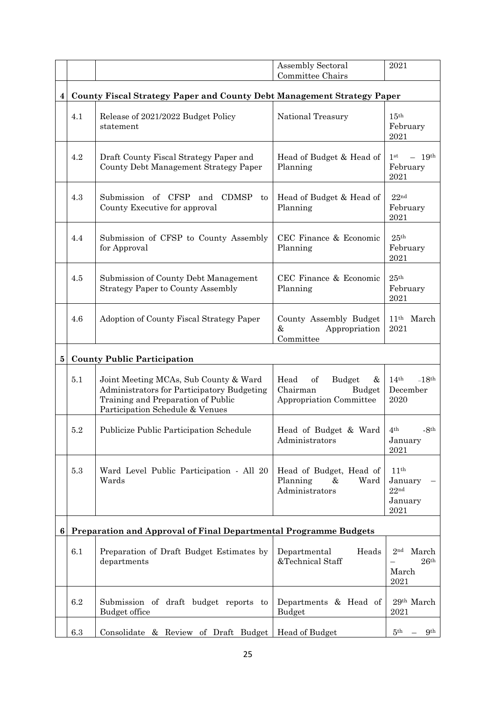|          |                                                                               |                                                                                                                                                              | <b>Assembly Sectoral</b><br>Committee Chairs                                         | 2021                                                               |  |  |  |
|----------|-------------------------------------------------------------------------------|--------------------------------------------------------------------------------------------------------------------------------------------------------------|--------------------------------------------------------------------------------------|--------------------------------------------------------------------|--|--|--|
| 4        | <b>County Fiscal Strategy Paper and County Debt Management Strategy Paper</b> |                                                                                                                                                              |                                                                                      |                                                                    |  |  |  |
|          | 4.1                                                                           | Release of 2021/2022 Budget Policy<br>statement                                                                                                              | National Treasury                                                                    | $15^{\text{th}}$<br>February<br>2021                               |  |  |  |
|          | 4.2                                                                           | Draft County Fiscal Strategy Paper and<br>County Debt Management Strategy Paper                                                                              | Head of Budget & Head of<br>Planning                                                 | $-19$ <sup>th</sup><br>1 <sup>st</sup><br>February<br>2021         |  |  |  |
|          | 4.3                                                                           | Submission of CFSP<br>and CDMSP<br>to<br>County Executive for approval                                                                                       | Head of Budget & Head of<br>Planning                                                 | 22 <sup>nd</sup><br>February<br>2021                               |  |  |  |
|          | 4.4                                                                           | Submission of CFSP to County Assembly<br>for Approval                                                                                                        | CEC Finance & Economic<br>Planning                                                   | 25 <sup>th</sup><br>February<br>2021                               |  |  |  |
|          | 4.5                                                                           | Submission of County Debt Management<br><b>Strategy Paper to County Assembly</b>                                                                             | CEC Finance & Economic<br>Planning                                                   | 25 <sup>th</sup><br>February<br>2021                               |  |  |  |
|          | 4.6                                                                           | Adoption of County Fiscal Strategy Paper                                                                                                                     | County Assembly Budget<br>&<br>Appropriation<br>Committee                            | 11 <sup>th</sup> March<br>2021                                     |  |  |  |
| $\bf{5}$ | <b>County Public Participation</b>                                            |                                                                                                                                                              |                                                                                      |                                                                    |  |  |  |
|          | 5.1                                                                           | Joint Meeting MCAs, Sub County & Ward<br>Administrators for Participatory Budgeting<br>Training and Preparation of Public<br>Participation Schedule & Venues | Head<br>of<br><b>Budget</b><br>$\&$<br>Chairman<br>Budget<br>Appropriation Committee | 14 <sup>th</sup><br>$-18$ <sup>th</sup><br>December<br>2020        |  |  |  |
|          | 5.2                                                                           | Publicize Public Participation Schedule                                                                                                                      | Head of Budget & Ward<br>Administrators                                              | $-8th$<br>4 <sup>th</sup><br>January<br>2021                       |  |  |  |
|          | $5.3\,$                                                                       | Ward Level Public Participation - All 20<br>Wards                                                                                                            | Head of Budget, Head of<br>Planning<br>&<br>Ward<br>Administrators                   | 11 <sup>th</sup><br>January<br>22 <sup>nd</sup><br>January<br>2021 |  |  |  |
| 6        | Preparation and Approval of Final Departmental Programme Budgets              |                                                                                                                                                              |                                                                                      |                                                                    |  |  |  |
|          | 6.1                                                                           | Preparation of Draft Budget Estimates by<br>departments                                                                                                      | Departmental<br>Heads<br>&Technical Staff                                            | 2 <sub>nd</sub><br>March<br>$26^{\rm th}$<br>March<br>2021         |  |  |  |
|          | 6.2                                                                           | Submission of draft budget reports to<br>Budget office                                                                                                       | Departments & Head of<br><b>Budget</b>                                               | 29th March<br>2021                                                 |  |  |  |
|          | $6.3\,$                                                                       | Consolidate & Review of Draft Budget                                                                                                                         | Head of Budget                                                                       | 5 <sup>th</sup><br>9 <sup>th</sup>                                 |  |  |  |